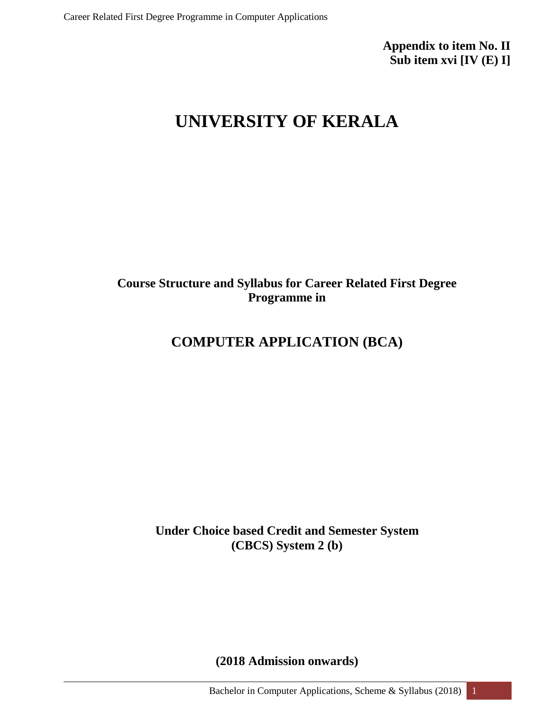**Appendix to item No. II Sub item xvi [IV (E) I]**

# **UNIVERSITY OF KERALA**

### **Course Structure and Syllabus for Career Related First Degree Programme in**

### **COMPUTER APPLICATION (BCA)**

**Under Choice based Credit and Semester System (CBCS) System 2 (b)**

**(2018 Admission onwards)**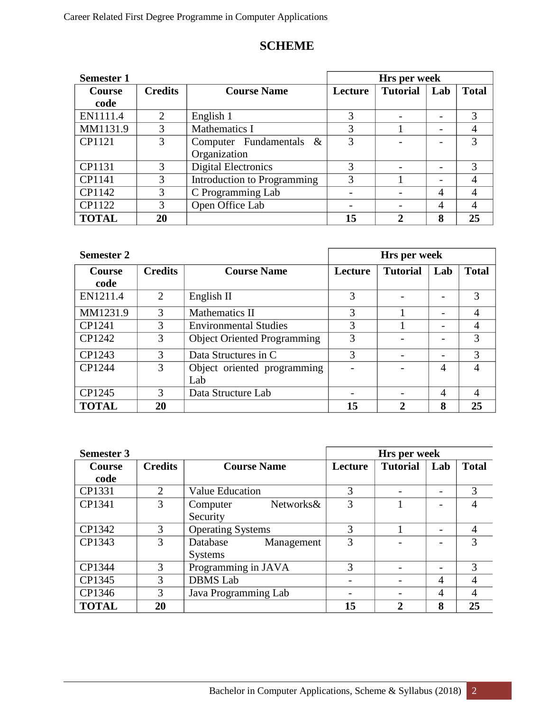### **SCHEME**

| <b>Semester 1</b> |                |                             | Hrs per week |                 |     |              |
|-------------------|----------------|-----------------------------|--------------|-----------------|-----|--------------|
| <b>Course</b>     | <b>Credits</b> | <b>Course Name</b>          | Lecture      | <b>Tutorial</b> | Lab | <b>Total</b> |
| code              |                |                             |              |                 |     |              |
| EN1111.4          | 2              | English 1                   | 3            |                 |     | 3            |
| MM1131.9          | 3              | Mathematics I               | 3            |                 |     |              |
| CP1121            | 3              | Computer Fundamentals &     | 3            |                 |     | 3            |
|                   |                | Organization                |              |                 |     |              |
| CP1131            | 3              | <b>Digital Electronics</b>  | 3            |                 |     | 3            |
| CP1141            | 3              | Introduction to Programming | 3            |                 |     |              |
| CP1142            | 3              | C Programming Lab           |              |                 | 4   |              |
| CP1122            | 3              | Open Office Lab             |              |                 | 4   |              |
| <b>TOTAL</b>      | 20             |                             | 15           | $\mathfrak{D}$  | 8   | 25           |

| <b>Semester 2</b> |                             |                                    |         | Hrs per week    |     |              |
|-------------------|-----------------------------|------------------------------------|---------|-----------------|-----|--------------|
| <b>Course</b>     | <b>Credits</b>              | <b>Course Name</b>                 | Lecture | <b>Tutorial</b> | Lab | <b>Total</b> |
| code              |                             |                                    |         |                 |     |              |
| EN1211.4          | $\mathcal{D}_{\mathcal{L}}$ | English II                         | 3       |                 |     | 3            |
| MM1231.9          | 3                           | <b>Mathematics II</b>              | 3       |                 |     | 4            |
| CP1241            | 3                           | <b>Environmental Studies</b>       | 3       |                 |     | 4            |
| CP1242            | 3                           | <b>Object Oriented Programming</b> | 3       |                 |     | 3            |
| CP1243            | 3                           | Data Structures in C               | 3       |                 |     | 3            |
| CP1244            | 3                           | Object oriented programming        |         |                 | 4   | 4            |
|                   |                             | Lab                                |         |                 |     |              |
| CP1245            | 3                           | Data Structure Lab                 |         |                 | 4   | 4            |
| <b>TOTAL</b>      | 20                          |                                    | 15      | 2               | 8   | 25           |

| <b>Semester 3</b> |                |                          | Hrs per week |                 |     |                |
|-------------------|----------------|--------------------------|--------------|-----------------|-----|----------------|
| Course            | <b>Credits</b> | <b>Course Name</b>       | Lecture      | <b>Tutorial</b> | Lab | <b>Total</b>   |
| code              |                |                          |              |                 |     |                |
| CP1331            | $\mathcal{D}$  | <b>Value Education</b>   | 3            |                 |     | 3              |
| CP1341            | 3              | Networks&<br>Computer    | 3            |                 |     |                |
|                   |                | Security                 |              |                 |     |                |
| CP1342            | 3              | <b>Operating Systems</b> | 3            |                 |     | $\overline{4}$ |
| CP1343            | 3              | Database<br>Management   | 3            |                 |     | 3              |
|                   |                | <b>Systems</b>           |              |                 |     |                |
| CP1344            | 3              | Programming in JAVA      | 3            |                 |     | 3              |
| CP1345            | 3              | <b>DBMS</b> Lab          |              |                 | 4   |                |
| CP1346            | 3              | Java Programming Lab     |              |                 | 4   | 4              |
| <b>TOTAL</b>      | 20             |                          | 15           | $\overline{2}$  | 8   | 25             |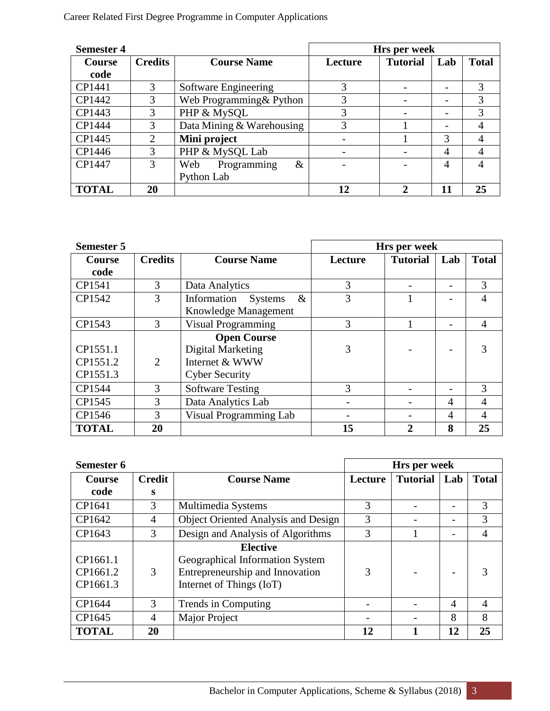| <b>Semester 4</b> |                |                            | Hrs per week |                 |                |              |
|-------------------|----------------|----------------------------|--------------|-----------------|----------------|--------------|
| <b>Course</b>     | <b>Credits</b> | <b>Course Name</b>         | Lecture      | <b>Tutorial</b> | Lab            | <b>Total</b> |
| code              |                |                            |              |                 |                |              |
| CP1441            | 3              | Software Engineering       | 3            |                 |                | 3            |
| CP1442            | 3              | Web Programming & Python   | 3            |                 | -              | 3            |
| CP1443            | 3              | PHP & MySQL                | 3            |                 |                | 3            |
| CP1444            | 3              | Data Mining & Warehousing  | 3            |                 |                |              |
| CP1445            | $\overline{2}$ | Mini project               |              |                 | 3              |              |
| CP1446            | 3              | PHP & MySQL Lab            |              |                 | $\overline{4}$ | 4            |
| CP1447            | 3              | Programming<br>$\&$<br>Web |              |                 | 4              | 4            |
|                   |                | Python Lab                 |              |                 |                |              |
| <b>TOTAL</b>      | 20             |                            | 12           | າ               | 11             | 25           |

| <b>Semester 5</b> |                |                               |         | Hrs per week    |     |                |
|-------------------|----------------|-------------------------------|---------|-----------------|-----|----------------|
| <b>Course</b>     | <b>Credits</b> | <b>Course Name</b>            | Lecture | <b>Tutorial</b> | Lab | <b>Total</b>   |
| code              |                |                               |         |                 |     |                |
| CP1541            | 3              | Data Analytics                | 3       |                 |     | 3              |
| CP1542            | 3              | Information Systems<br>$\&$   | 3       |                 |     | 4              |
|                   |                | Knowledge Management          |         |                 |     |                |
| CP1543            | 3              | <b>Visual Programming</b>     | 3       |                 |     | $\overline{4}$ |
|                   |                | <b>Open Course</b>            |         |                 |     |                |
| CP1551.1          |                | Digital Marketing             | 3       |                 |     |                |
| CP1551.2          | 2              | Internet & WWW                |         |                 |     |                |
| CP1551.3          |                | <b>Cyber Security</b>         |         |                 |     |                |
| CP1544            | 3              | <b>Software Testing</b>       | 3       |                 |     | 3              |
| CP1545            | 3              | Data Analytics Lab            |         |                 | 4   | 4              |
| CP1546            | 3              | <b>Visual Programming Lab</b> |         |                 | 4   | 4              |
| <b>TOTAL</b>      | 20             |                               | 15      | $\mathbf{2}$    | 8   | 25             |

| Semester 6                       |                |                                                                                                                   |         | Hrs per week    |     |                |
|----------------------------------|----------------|-------------------------------------------------------------------------------------------------------------------|---------|-----------------|-----|----------------|
| Course                           | Credit         | <b>Course Name</b>                                                                                                | Lecture | <b>Tutorial</b> | Lab | <b>Total</b>   |
| code                             | S              |                                                                                                                   |         |                 |     |                |
| CP1641                           | 3              | Multimedia Systems                                                                                                | 3       |                 |     | 3              |
| CP1642                           | $\overline{4}$ | <b>Object Oriented Analysis and Design</b>                                                                        | 3       |                 |     | 3              |
| CP1643                           | 3              | Design and Analysis of Algorithms                                                                                 | 3       |                 |     | 4              |
| CP1661.1<br>CP1661.2<br>CP1661.3 | 3              | <b>Elective</b><br>Geographical Information System<br>Entrepreneurship and Innovation<br>Internet of Things (IoT) | 3       |                 |     |                |
| CP1644                           | 3              | Trends in Computing                                                                                               |         |                 | 4   | $\overline{A}$ |
| CP1645                           | $\overline{4}$ | Major Project                                                                                                     |         |                 | 8   | 8              |
| <b>TOTAL</b>                     | 20             |                                                                                                                   | 12      |                 | 12  | 25             |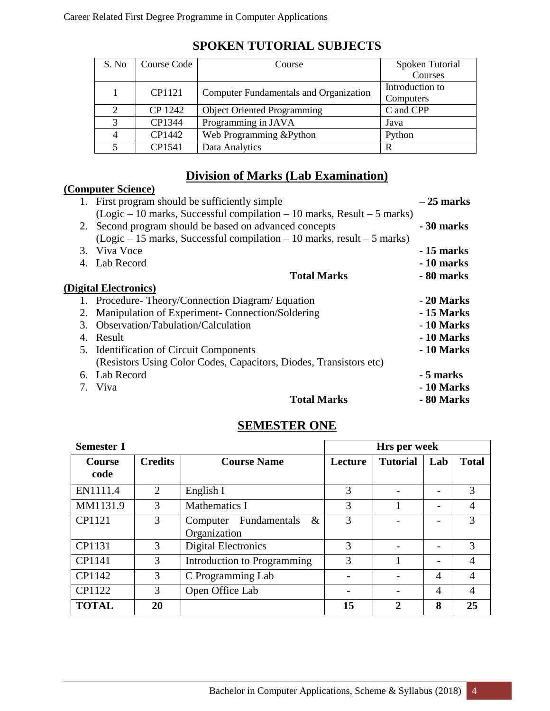| S. No | Course Code | Course                                 | Spoken Tutorial |
|-------|-------------|----------------------------------------|-----------------|
|       |             |                                        | Courses         |
|       | CP1121      |                                        | Introduction to |
|       |             | Computer Fundamentals and Organization | Computers       |
| 2     | CP 1242     | <b>Object Oriented Programming</b>     | C and CPP       |
| 3     | CP1344      | Programming in JAVA                    | Java            |
| 4     | CP1442      | Web Programming & Python               | Python          |
|       | CP1541      | Data Analytics                         | R               |

### **SPOKEN TUTORIAL SUBJECTS**

### **Division of Marks (Lab Examination)**

|    | $\frac{1}{2}$                                                             |             |
|----|---------------------------------------------------------------------------|-------------|
|    | (Computer Science)                                                        |             |
|    | 1. First program should be sufficiently simple                            | $-25$ marks |
|    | $(Logic – 10 marks, Successful compilation – 10 marks, Result – 5 marks)$ |             |
|    | 2. Second program should be based on advanced concepts                    | - 30 marks  |
|    | $(Logic – 15 marks, Successful compilation – 10 marks, result – 5 marks)$ |             |
|    | 3. Viva Voce                                                              | - 15 marks  |
|    | 4. Lab Record                                                             | - 10 marks  |
|    | <b>Total Marks</b>                                                        | - 80 marks  |
|    | (Digital Electronics)                                                     |             |
|    | 1. Procedure-Theory/Connection Diagram/ Equation                          | - 20 Marks  |
| 2. | Manipulation of Experiment-Connection/Soldering                           | - 15 Marks  |
| 3. | Observation/Tabulation/Calculation                                        | - 10 Marks  |
| 4. | Result                                                                    | - 10 Marks  |
| 5. | <b>Identification of Circuit Components</b>                               | - 10 Marks  |
|    | (Resistors Using Color Codes, Capacitors, Diodes, Transistors etc)        |             |
|    | 6. Lab Record                                                             | - 5 marks   |
|    | 7. Viva                                                                   | - 10 Marks  |
|    | <b>Total Marks</b>                                                        | - 80 Marks  |

### **SEMESTER ONE**

| <b>Semester 1</b>     |                |                                               | Hrs per week |                 |                |              |
|-----------------------|----------------|-----------------------------------------------|--------------|-----------------|----------------|--------------|
| <b>Course</b><br>code | <b>Credits</b> | <b>Course Name</b>                            | Lecture      | <b>Tutorial</b> | Lab            | <b>Total</b> |
| EN1111.4              | 2              | English I                                     | 3            |                 |                | 3            |
| MM1131.9              | 3              | <b>Mathematics I</b>                          | 3            |                 |                | 4            |
| CP1121                | 3              | Computer Fundamentals<br>$\&$<br>Organization | 3            |                 |                | 3            |
| CP1131                | 3              | <b>Digital Electronics</b>                    | 3            |                 |                | 3            |
| CP1141                | 3              | Introduction to Programming                   | 3            |                 |                | 4            |
| CP1142                | 3              | C Programming Lab                             |              |                 | $\overline{4}$ | 4            |
| CP1122                | 3              | Open Office Lab                               |              |                 | $\overline{4}$ | 4            |
| <b>TOTAL</b>          | 20             |                                               | 15           | 2               | 8              | 25           |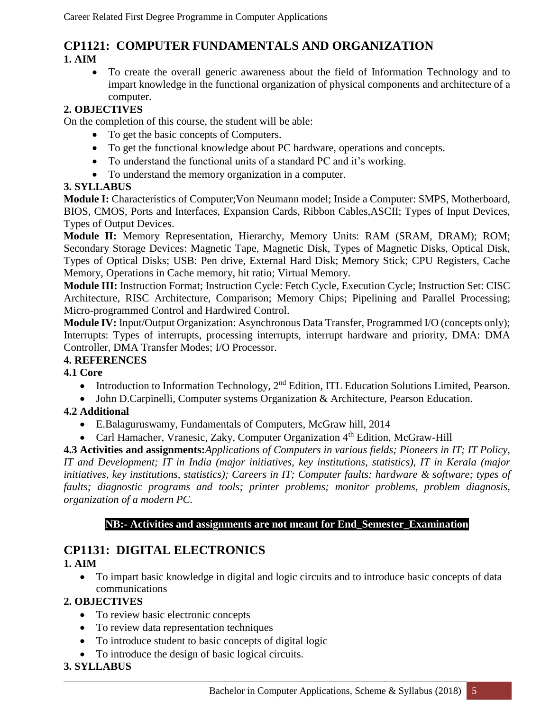## **CP1121: COMPUTER FUNDAMENTALS AND ORGANIZATION**

#### **1. AIM**

 To create the overall generic awareness about the field of Information Technology and to impart knowledge in the functional organization of physical components and architecture of a computer.

#### **2. OBJECTIVES**

On the completion of this course, the student will be able:

- To get the basic concepts of Computers.
- To get the functional knowledge about PC hardware, operations and concepts.
- To understand the functional units of a standard PC and it's working.
- To understand the memory organization in a computer.

### **3. SYLLABUS**

**Module I:** Characteristics of Computer;Von Neumann model; Inside a Computer: SMPS, Motherboard, BIOS, CMOS, Ports and Interfaces, Expansion Cards, Ribbon Cables,ASCII; Types of Input Devices, Types of Output Devices.

**Module II:** Memory Representation, Hierarchy, Memory Units: RAM (SRAM, DRAM); ROM; Secondary Storage Devices: Magnetic Tape, Magnetic Disk, Types of Magnetic Disks, Optical Disk, Types of Optical Disks; USB: Pen drive, External Hard Disk; Memory Stick; CPU Registers, Cache Memory, Operations in Cache memory, hit ratio; Virtual Memory.

**Module III:** Instruction Format; Instruction Cycle: Fetch Cycle, Execution Cycle; Instruction Set: CISC Architecture, RISC Architecture, Comparison; Memory Chips; Pipelining and Parallel Processing; Micro-programmed Control and Hardwired Control.

**Module IV:** Input/Output Organization: Asynchronous Data Transfer, Programmed I/O (concepts only); Interrupts: Types of interrupts, processing interrupts, interrupt hardware and priority, DMA: DMA Controller, DMA Transfer Modes; I/O Processor.

#### **4. REFERENCES**

**4.1 Core** 

- Introduction to Information Technology,  $2<sup>nd</sup>$  Edition, ITL Education Solutions Limited, Pearson.
- John D.Carpinelli, Computer systems Organization & Architecture, Pearson Education.

#### **4.2 Additional**

- E.Balaguruswamy, Fundamentals of Computers, McGraw hill, 2014
- Carl Hamacher, Vranesic, Zaky, Computer Organization  $4<sup>th</sup>$  Edition, McGraw-Hill

**4.3 Activities and assignments:***Applications of Computers in various fields; Pioneers in IT; IT Policy, IT and Development; IT in India (major initiatives, key institutions, statistics), IT in Kerala (major initiatives, key institutions, statistics); Careers in IT; Computer faults: hardware & software; types of faults; diagnostic programs and tools; printer problems; monitor problems, problem diagnosis, organization of a modern PC.* 

#### **NB:- Activities and assignments are not meant for End\_Semester\_Examination**

### **CP1131: DIGITAL ELECTRONICS**

#### **1. AIM**

 To impart basic knowledge in digital and logic circuits and to introduce basic concepts of data communications

#### **2. OBJECTIVES**

- To review basic electronic concepts
- To review data representation techniques
- To introduce student to basic concepts of digital logic
- To introduce the design of basic logical circuits.

#### **3. SYLLABUS**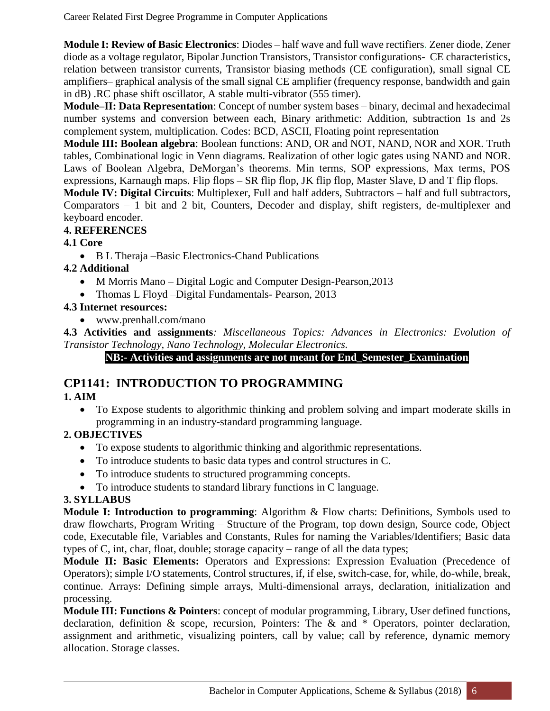**Module I: Review of Basic Electronics**: Diodes – half wave and full wave rectifiers. Zener diode, Zener diode as a voltage regulator, Bipolar Junction Transistors, Transistor configurations- CE characteristics, relation between transistor currents, Transistor biasing methods (CE configuration), small signal CE amplifiers– graphical analysis of the small signal CE amplifier (frequency response, bandwidth and gain in dB) .RC phase shift oscillator, A stable multi-vibrator (555 timer).

**Module–II: Data Representation**: Concept of number system bases – binary, decimal and hexadecimal number systems and conversion between each, Binary arithmetic: Addition, subtraction 1s and 2s complement system, multiplication. Codes: BCD, ASCII, Floating point representation

**Module III: Boolean algebra**: Boolean functions: AND, OR and NOT, NAND, NOR and XOR. Truth tables, Combinational logic in Venn diagrams. Realization of other logic gates using NAND and NOR. Laws of Boolean Algebra, DeMorgan's theorems. Min terms, SOP expressions, Max terms, POS expressions, Karnaugh maps. Flip flops – SR flip flop, JK flip flop, Master Slave, D and T flip flops.

**Module IV: Digital Circuits**: Multiplexer, Full and half adders, Subtractors – half and full subtractors, Comparators – 1 bit and 2 bit, Counters, Decoder and display, shift registers, de-multiplexer and keyboard encoder.

#### **4. REFERENCES**

#### **4.1 Core**

• B L Theraja –Basic Electronics-Chand Publications

#### **4.2 Additional**

- M Morris Mano Digital Logic and Computer Design-Pearson, 2013
- Thomas L Floyd –Digital Fundamentals- Pearson, 2013

#### **4.3 Internet resources:**

www.prenhall.com/mano

**4.3 Activities and assignments***: Miscellaneous Topics: Advances in Electronics: Evolution of Transistor Technology, Nano Technology, Molecular Electronics.*

#### **NB:- Activities and assignments are not meant for End\_Semester\_Examination**

# **CP1141: INTRODUCTION TO PROGRAMMING**

#### **1. AIM**

 To Expose students to algorithmic thinking and problem solving and impart moderate skills in programming in an industry-standard programming language.

#### **2. OBJECTIVES**

- To expose students to algorithmic thinking and algorithmic representations.
- To introduce students to basic data types and control structures in C.
- To introduce students to structured programming concepts.
- To introduce students to standard library functions in C language.

#### **3. SYLLABUS**

**Module I: Introduction to programming**: Algorithm & Flow charts: Definitions, Symbols used to draw flowcharts, Program Writing – Structure of the Program, top down design, Source code, Object code, Executable file, Variables and Constants, Rules for naming the Variables/Identifiers; Basic data types of C, int, char, float, double; storage capacity – range of all the data types;

**Module II: Basic Elements:** Operators and Expressions: Expression Evaluation (Precedence of Operators); simple I/O statements, Control structures, if, if else, switch-case, for, while, do-while, break, continue. Arrays: Defining simple arrays, Multi-dimensional arrays, declaration, initialization and processing.

**Module III: Functions & Pointers**: concept of modular programming, Library, User defined functions, declaration, definition & scope, recursion, Pointers: The & and \* Operators, pointer declaration, assignment and arithmetic, visualizing pointers, call by value; call by reference, dynamic memory allocation. Storage classes.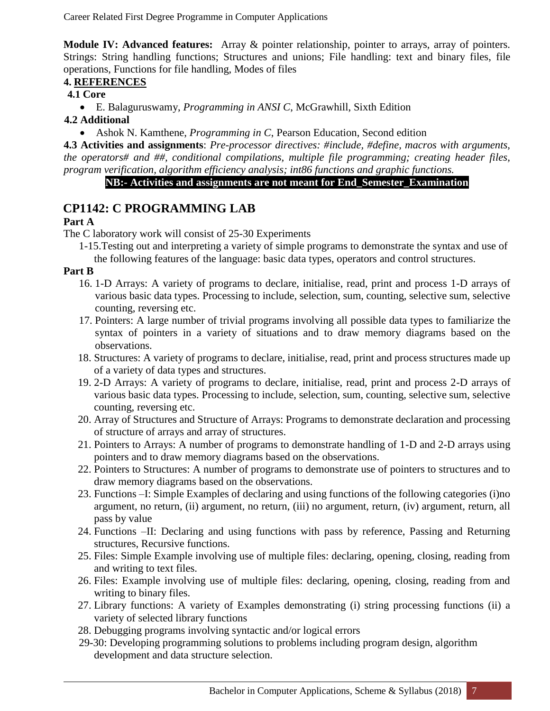**Module IV: Advanced features:** Array & pointer relationship, pointer to arrays, array of pointers. Strings: String handling functions; Structures and unions; File handling: text and binary files, file operations, Functions for file handling, Modes of files

#### **4. REFERENCES**

#### **4.1 Core**

E. Balaguruswamy, *Programming in ANSI C*, McGrawhill, Sixth Edition

#### **4.2 Additional**

Ashok N. Kamthene, *Programming in C*, Pearson Education, Second edition

**4.3 Activities and assignments**: *Pre-processor directives: #include, #define, macros with arguments, the operators# and ##, conditional compilations, multiple file programming; creating header files, program verification, algorithm efficiency analysis; int86 functions and graphic functions.* 

#### **NB:- Activities and assignments are not meant for End\_Semester\_Examination**

### **CP1142: C PROGRAMMING LAB**

#### **Part A**

The C laboratory work will consist of 25-30 Experiments

1-15.Testing out and interpreting a variety of simple programs to demonstrate the syntax and use of the following features of the language: basic data types, operators and control structures.

#### **Part B**

- 16. 1-D Arrays: A variety of programs to declare, initialise, read, print and process 1-D arrays of various basic data types. Processing to include, selection, sum, counting, selective sum, selective counting, reversing etc.
- 17. Pointers: A large number of trivial programs involving all possible data types to familiarize the syntax of pointers in a variety of situations and to draw memory diagrams based on the observations.
- 18. Structures: A variety of programs to declare, initialise, read, print and process structures made up of a variety of data types and structures.
- 19. 2-D Arrays: A variety of programs to declare, initialise, read, print and process 2-D arrays of various basic data types. Processing to include, selection, sum, counting, selective sum, selective counting, reversing etc.
- 20. Array of Structures and Structure of Arrays: Programs to demonstrate declaration and processing of structure of arrays and array of structures.
- 21. Pointers to Arrays: A number of programs to demonstrate handling of 1-D and 2-D arrays using pointers and to draw memory diagrams based on the observations.
- 22. Pointers to Structures: A number of programs to demonstrate use of pointers to structures and to draw memory diagrams based on the observations.
- 23. Functions –I: Simple Examples of declaring and using functions of the following categories (i)no argument, no return, (ii) argument, no return, (iii) no argument, return, (iv) argument, return, all pass by value
- 24. Functions –II: Declaring and using functions with pass by reference, Passing and Returning structures, Recursive functions.
- 25. Files: Simple Example involving use of multiple files: declaring, opening, closing, reading from and writing to text files.
- 26. Files: Example involving use of multiple files: declaring, opening, closing, reading from and writing to binary files.
- 27. Library functions: A variety of Examples demonstrating (i) string processing functions (ii) a variety of selected library functions
- 28. Debugging programs involving syntactic and/or logical errors
- 29-30: Developing programming solutions to problems including program design, algorithm development and data structure selection.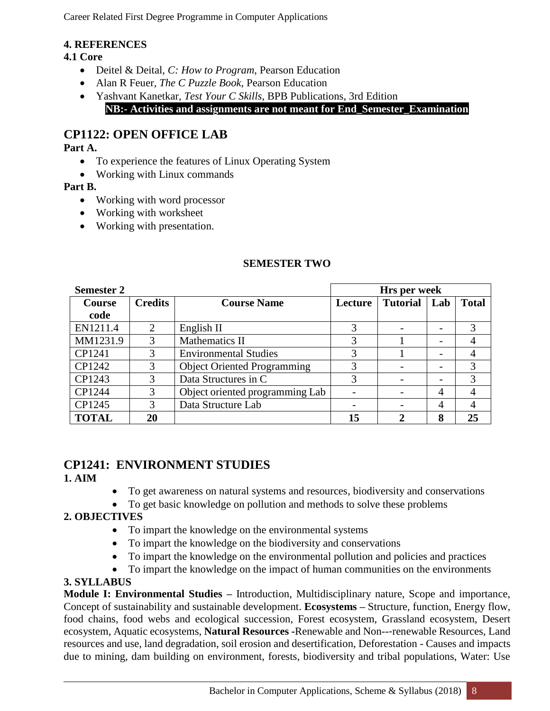#### **4. REFERENCES**

#### **4.1 Core**

- Deitel & Deital, *C: How to Program*, Pearson Education
- Alan R Feuer, *The C Puzzle Book*, Pearson Education
- Yashvant Kanetkar, *Test Your C Skills*, BPB Publications, 3rd Edition **NB:- Activities and assignments are not meant for End\_Semester\_Examination**

### **CP1122: OPEN OFFICE LAB**

#### **Part A.**

- To experience the features of Linux Operating System
- Working with Linux commands

#### **Part B.**

- Working with word processor
- Working with worksheet
- Working with presentation.

| <b>Semester 2</b> |                |                                    |         | Hrs per week        |   |              |
|-------------------|----------------|------------------------------------|---------|---------------------|---|--------------|
| <b>Course</b>     | <b>Credits</b> | <b>Course Name</b>                 | Lecture | <b>Tutorial</b> Lab |   | <b>Total</b> |
| code              |                |                                    |         |                     |   |              |
| EN1211.4          | 2              | English II                         |         |                     |   |              |
| MM1231.9          | 3              | Mathematics II                     | 3       |                     |   |              |
| CP1241            | 3              | <b>Environmental Studies</b>       | 3       |                     |   |              |
| CP1242            | 3              | <b>Object Oriented Programming</b> | 3       |                     |   | 3            |
| CP1243            | 3              | Data Structures in C               | 3       |                     |   | 3            |
| CP1244            | 3              | Object oriented programming Lab    |         |                     | 4 |              |
| CP1245            | 3              | Data Structure Lab                 |         |                     | 4 |              |
| <b>TOTAL</b>      | 20             |                                    | 15      |                     | 8 | 25           |

#### **SEMESTER TWO**

# **CP1241: ENVIRONMENT STUDIES**

- **1. AIM**
- To get awareness on natural systems and resources, biodiversity and conservations
- To get basic knowledge on pollution and methods to solve these problems

#### **2. OBJECTIVES**

- To impart the knowledge on the environmental systems
- To impart the knowledge on the biodiversity and conservations
- To impart the knowledge on the environmental pollution and policies and practices
- To impart the knowledge on the impact of human communities on the environments

#### **3. SYLLABUS**

**Module I: Environmental Studies –** Introduction, Multidisciplinary nature, Scope and importance, Concept of sustainability and sustainable development. **Ecosystems –** Structure, function, Energy flow, food chains, food webs and ecological succession, Forest ecosystem, Grassland ecosystem, Desert ecosystem, Aquatic ecosystems, **Natural Resources -**Renewable and Non--‐renewable Resources, Land resources and use, land degradation, soil erosion and desertification, Deforestation - Causes and impacts due to mining, dam building on environment, forests, biodiversity and tribal populations, Water: Use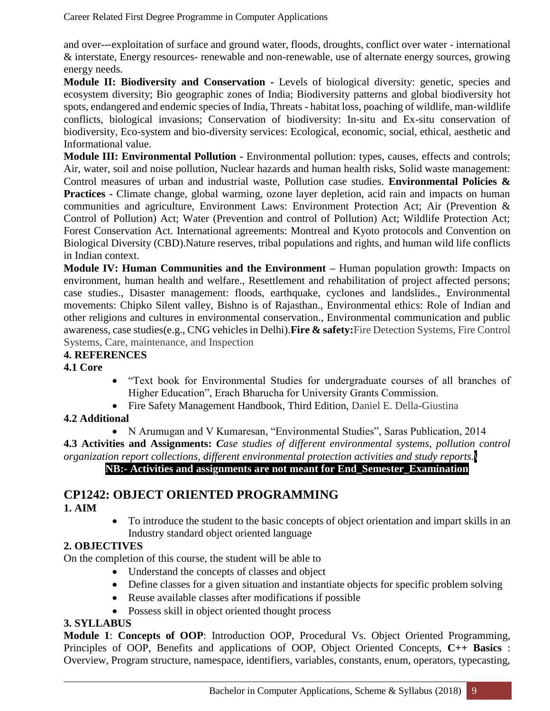and over--‐exploitation of surface and ground water, floods, droughts, conflict over water - international & interstate, Energy resources- renewable and non-renewable, use of alternate energy sources, growing energy needs.

**Module II: Biodiversity and Conservation -** Levels of biological diversity: genetic, species and ecosystem diversity; Bio geographic zones of India; Biodiversity patterns and global biodiversity hot spots, endangered and endemic species of India, Threats - habitat loss, poaching of wildlife, man-wildlife conflicts, biological invasions; Conservation of biodiversity: In‐situ and Ex-situ conservation of biodiversity, Eco-system and bio-diversity services: Ecological, economic, social, ethical, aesthetic and Informational value.

**Module III: Environmental Pollution -** Environmental pollution: types, causes, effects and controls; Air, water, soil and noise pollution, Nuclear hazards and human health risks, Solid waste management: Control measures of urban and industrial waste, Pollution case studies. **Environmental Policies & Practices -** Climate change, global warming, ozone layer depletion, acid rain and impacts on human communities and agriculture, Environment Laws: Environment Protection Act; Air (Prevention & Control of Pollution) Act; Water (Prevention and control of Pollution) Act; Wildlife Protection Act; Forest Conservation Act. International agreements: Montreal and Kyoto protocols and Convention on Biological Diversity (CBD).Nature reserves, tribal populations and rights, and human wild life conflicts in Indian context.

**Module IV: Human Communities and the Environment –** Human population growth: Impacts on environment, human health and welfare., Resettlement and rehabilitation of project affected persons; case studies., Disaster management: floods, earthquake, cyclones and landslides., Environmental movements: Chipko Silent valley, Bishno is of Rajasthan., Environmental ethics: Role of Indian and other religions and cultures in environmental conservation., Environmental communication and public awareness, case studies(e.g., CNG vehicles in Delhi).**Fire & safety:**Fire Detection Systems, Fire Control Systems, Care, maintenance, and Inspection

#### **4. REFERENCES**

**4.1 Core**

- "Text book for Environmental Studies for undergraduate courses of all branches of Higher Education", Erach Bharucha for University Grants Commission.
- Fire Safety Management Handbook, Third Edition, Daniel E. Della-Giustina

#### **4.2 Additional**

• N Arumugan and V Kumaresan, "Environmental Studies", Saras Publication, 2014 **4.3 Activities and Assignments:** *Case studies of different environmental systems, pollution control organization report collections, different environmental protection activities and study reports.***\ NB:- Activities and assignments are not meant for End\_Semester\_Examination**

### **CP1242: OBJECT ORIENTED PROGRAMMING**

**1. AIM**

 To introduce the student to the basic concepts of object orientation and impart skills in an Industry standard object oriented language

#### **2. OBJECTIVES**

On the completion of this course, the student will be able to

- Understand the concepts of classes and object
- Define classes for a given situation and instantiate objects for specific problem solving
- Reuse available classes after modifications if possible
- Possess skill in object oriented thought process

#### **3. SYLLABUS**

**Module 1**: **Concepts of OOP**: Introduction OOP, Procedural Vs. Object Oriented Programming, Principles of OOP, Benefits and applications of OOP, Object Oriented Concepts, **C++ Basics** : Overview, Program structure, namespace, identifiers, variables, constants, enum, operators, typecasting,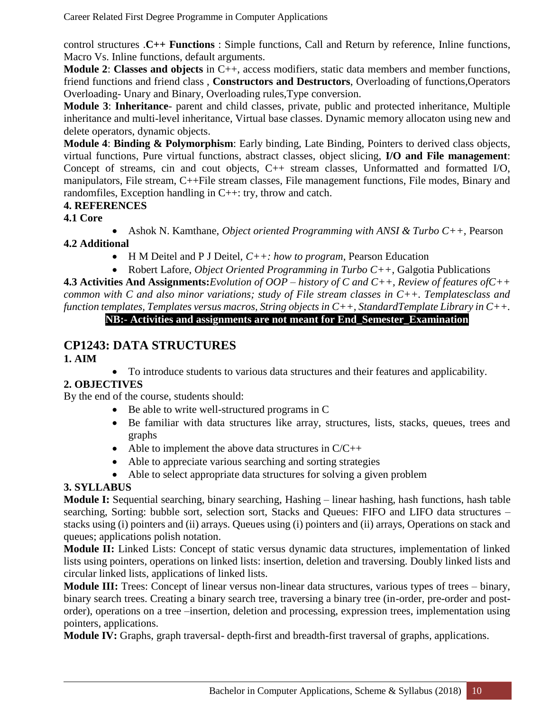control structures .**C++ Functions** : Simple functions, Call and Return by reference, Inline functions, Macro Vs. Inline functions, default arguments.

**Module 2**: **Classes and objects** in C++, access modifiers, static data members and member functions, friend functions and friend class , **Constructors and Destructors**, Overloading of functions,Operators Overloading- Unary and Binary, Overloading rules,Type conversion.

**Module 3**: **Inheritance**- parent and child classes, private, public and protected inheritance, Multiple inheritance and multi-level inheritance, Virtual base classes. Dynamic memory allocaton using new and delete operators, dynamic objects.

**Module 4**: **Binding & Polymorphism**: Early binding, Late Binding, Pointers to derived class objects, virtual functions, Pure virtual functions, abstract classes, object slicing, **I/O and File management**: Concept of streams, cin and cout objects, C++ stream classes, Unformatted and formatted I/O, manipulators, File stream, C++File stream classes, File management functions, File modes, Binary and randomfiles, Exception handling in C++: try, throw and catch.

#### **4. REFERENCES**

**4.1 Core**

Ashok N. Kamthane, *Object oriented Programming with ANSI & Turbo C++,* Pearson

#### **4.2 Additional**

- H M Deitel and P J Deitel, *C++: how to program*, Pearson Education
- Robert Lafore, *Object Oriented Programming in Turbo C++*, Galgotia Publications

**4.3 Activities And Assignments:***Evolution of OOP – history of C and C++, Review of features ofC++ common with C and also minor variations; study of File stream classes in C++. Templatesclass and function templates, Templates versus macros, String objects in C++, StandardTemplate Library in C++.*

### **NB:- Activities and assignments are not meant for End\_Semester\_Examination**

### **CP1243: DATA STRUCTURES**

- **1. AIM**
- To introduce students to various data structures and their features and applicability.

#### **2. OBJECTIVES**

By the end of the course, students should:

- Be able to write well-structured programs in C
- Be familiar with data structures like array, structures, lists, stacks, queues, trees and graphs
- Able to implement the above data structures in  $C/C++$
- Able to appreciate various searching and sorting strategies
- Able to select appropriate data structures for solving a given problem

#### **3. SYLLABUS**

**Module I:** Sequential searching, binary searching, Hashing – linear hashing, hash functions, hash table searching, Sorting: bubble sort, selection sort, Stacks and Queues: FIFO and LIFO data structures – stacks using (i) pointers and (ii) arrays. Queues using (i) pointers and (ii) arrays, Operations on stack and queues; applications polish notation.

**Module II:** Linked Lists: Concept of static versus dynamic data structures, implementation of linked lists using pointers, operations on linked lists: insertion, deletion and traversing. Doubly linked lists and circular linked lists, applications of linked lists.

**Module III:** Trees: Concept of linear versus non-linear data structures, various types of trees – binary, binary search trees. Creating a binary search tree, traversing a binary tree (in-order, pre-order and postorder), operations on a tree –insertion, deletion and processing, expression trees, implementation using pointers, applications.

**Module IV:** Graphs, graph traversal- depth-first and breadth-first traversal of graphs, applications.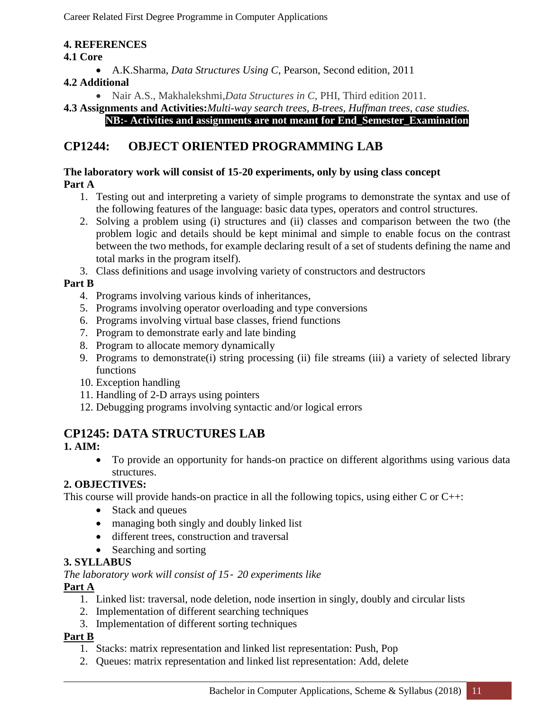#### **4. REFERENCES**

#### **4.1 Core**

A.K.Sharma, *Data Structures Using C*, Pearson, Second edition, 2011

#### **4.2 Additional**

Nair A.S., Makhalekshmi,*Data Structures in C*, PHI, Third edition 2011.

#### **4.3 Assignments and Activities:***Multi-way search trees, B-trees, Huffman trees, case studies.* **NB:- Activities and assignments are not meant for End\_Semester\_Examination**

### **CP1244: OBJECT ORIENTED PROGRAMMING LAB**

#### **The laboratory work will consist of 15-20 experiments, only by using class concept Part A**

- 1. Testing out and interpreting a variety of simple programs to demonstrate the syntax and use of the following features of the language: basic data types, operators and control structures.
- 2. Solving a problem using (i) structures and (ii) classes and comparison between the two (the problem logic and details should be kept minimal and simple to enable focus on the contrast between the two methods, for example declaring result of a set of students defining the name and total marks in the program itself).
- 3. Class definitions and usage involving variety of constructors and destructors

#### **Part B**

- 4. Programs involving various kinds of inheritances,
- 5. Programs involving operator overloading and type conversions
- 6. Programs involving virtual base classes, friend functions
- 7. Program to demonstrate early and late binding
- 8. Program to allocate memory dynamically
- 9. Programs to demonstrate(i) string processing (ii) file streams (iii) a variety of selected library functions
- 10. Exception handling
- 11. Handling of 2-D arrays using pointers
- 12. Debugging programs involving syntactic and/or logical errors

### **CP1245: DATA STRUCTURES LAB**

#### **1. AIM:**

 To provide an opportunity for hands-on practice on different algorithms using various data structures.

#### **2. OBJECTIVES:**

This course will provide hands-on practice in all the following topics, using either C or C++:

- Stack and queues
- managing both singly and doubly linked list
- different trees, construction and traversal
- Searching and sorting

#### **3. SYLLABUS**

*The laboratory work will consist of 15*‐ *20 experiments like*

#### **Part A**

- 1. Linked list: traversal, node deletion, node insertion in singly, doubly and circular lists
- 2. Implementation of different searching techniques
- 3. Implementation of different sorting techniques

#### **Part B**

- 1. Stacks: matrix representation and linked list representation: Push, Pop
- 2. Queues: matrix representation and linked list representation: Add, delete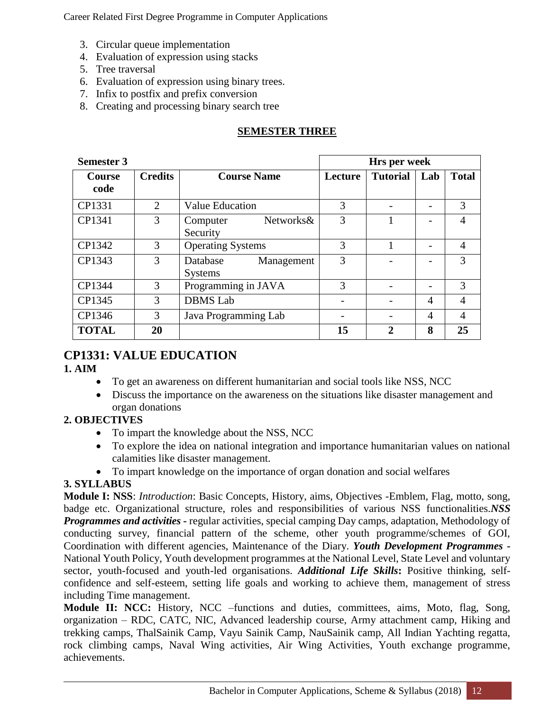- 3. Circular queue implementation
- 4. Evaluation of expression using stacks
- 5. Tree traversal
- 6. Evaluation of expression using binary trees.
- 7. Infix to postfix and prefix conversion
- 8. Creating and processing binary search tree

#### **SEMESTER THREE**

| <b>Semester 3</b>     |                |                                          |         | Hrs per week    |                |                |
|-----------------------|----------------|------------------------------------------|---------|-----------------|----------------|----------------|
| <b>Course</b><br>code | <b>Credits</b> | <b>Course Name</b>                       | Lecture | <b>Tutorial</b> | Lab            | <b>Total</b>   |
| CP1331                | 2              | <b>Value Education</b>                   | 3       |                 |                | 3              |
| CP1341                | 3              | Networks&<br>Computer<br>Security        | 3       |                 |                | 4              |
| CP1342                | 3              | <b>Operating Systems</b>                 | 3       |                 |                | $\overline{4}$ |
| CP1343                | 3              | Database<br>Management<br><b>Systems</b> | 3       |                 |                | 3              |
| CP1344                | 3              | Programming in JAVA                      | 3       |                 |                | 3              |
| CP1345                | 3              | <b>DBMS</b> Lab                          |         |                 | $\overline{4}$ | $\overline{4}$ |
| CP1346                | 3              | Java Programming Lab                     |         |                 | $\overline{4}$ | 4              |
| <b>TOTAL</b>          | 20             |                                          | 15      | $\mathbf{2}$    | 8              | 25             |

### **CP1331: VALUE EDUCATION**

#### **1. AIM**

- To get an awareness on different humanitarian and social tools like NSS, NCC
- Discuss the importance on the awareness on the situations like disaster management and organ donations

#### **2. OBJECTIVES**

- To impart the knowledge about the NSS, NCC
- To explore the idea on national integration and importance humanitarian values on national calamities like disaster management.
- To impart knowledge on the importance of organ donation and social welfares

#### **3. SYLLABUS**

**Module I: NSS**: *Introduction*: Basic Concepts, History, aims, Objectives -Emblem, Flag, motto, song, badge etc. Organizational structure, roles and responsibilities of various NSS functionalities.*NSS Programmes and activities -* regular activities, special camping Day camps, adaptation, Methodology of conducting survey, financial pattern of the scheme, other youth programme/schemes of GOI, Coordination with different agencies, Maintenance of the Diary. *Youth Development Programmes -* National Youth Policy, Youth development programmes at the National Level, State Level and voluntary sector, youth-focused and youth-led organisations. *Additional Life Skills***:** Positive thinking, selfconfidence and self-esteem, setting life goals and working to achieve them, management of stress including Time management.

**Module II: NCC:** History, NCC –functions and duties, committees, aims, Moto, flag, Song, organization – RDC, CATC, NIC, Advanced leadership course, Army attachment camp, Hiking and trekking camps, ThalSainik Camp, Vayu Sainik Camp, NauSainik camp, All Indian Yachting regatta, rock climbing camps, Naval Wing activities, Air Wing Activities, Youth exchange programme, achievements.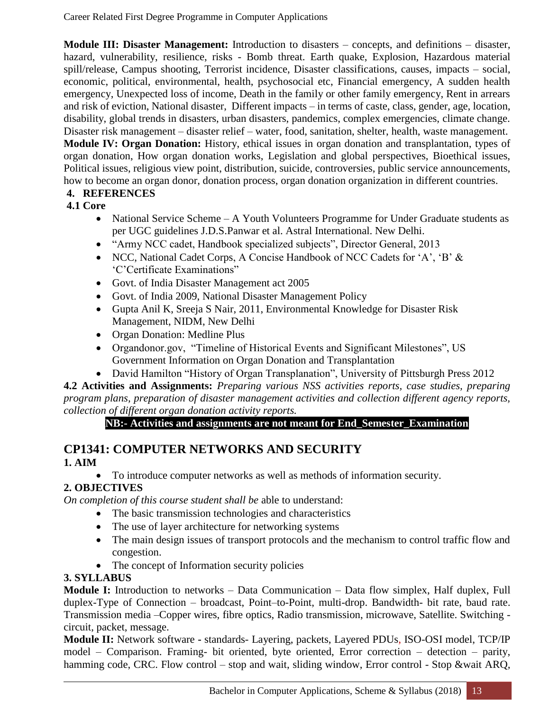**Module III: Disaster Management:** Introduction to disasters – concepts, and definitions – disaster, hazard, vulnerability, resilience, risks - Bomb threat. Earth quake, Explosion, Hazardous material spill/release, Campus shooting, Terrorist incidence, Disaster classifications, causes, impacts – social, economic, political, environmental, health, psychosocial etc, Financial emergency, A sudden health emergency, Unexpected loss of income, Death in the family or other family emergency, Rent in arrears and risk of eviction, National disaster, Different impacts – in terms of caste, class, gender, age, location, disability, global trends in disasters, urban disasters, pandemics, complex emergencies, climate change. Disaster risk management – disaster relief – water, food, sanitation, shelter, health, waste management. **Module IV: Organ Donation:** History, ethical issues in organ donation and transplantation, types of organ donation, How organ donation works, Legislation and global perspectives, Bioethical issues, Political issues, religious view point, distribution, suicide, controversies, public service announcements, how to become an organ donor, donation process, organ donation organization in different countries.

#### **4. REFERENCES**

#### **4.1 Core**

- National Service Scheme A Youth Volunteers Programme for Under Graduate students as per UGC guidelines J.D.S.Panwar et al. Astral International. New Delhi.
- "Army NCC cadet, Handbook specialized subjects", Director General, 2013
- NCC, National Cadet Corps, A Concise Handbook of NCC Cadets for 'A', 'B' & 'C'Certificate Examinations"
- Govt. of India Disaster Management act 2005
- Govt. of India 2009, National Disaster Management Policy
- Gupta Anil K, Sreeja S Nair, 2011, Environmental Knowledge for Disaster Risk Management, NIDM, New Delhi
- Organ Donation: Medline Plus
- Organdonor.gov, "Timeline of Historical Events and Significant Milestones", US Government Information on Organ Donation and Transplantation
- David Hamilton "History of Organ Transplanation", University of Pittsburgh Press 2012

**4.2 Activities and Assignments:** *Preparing various NSS activities reports, case studies, preparing program plans, preparation of disaster management activities and collection different agency reports, collection of different organ donation activity reports.*

**NB:- Activities and assignments are not meant for End\_Semester\_Examination**

#### **CP1341: COMPUTER NETWORKS AND SECURITY 1. AIM**

To introduce computer networks as well as methods of information security.

#### **2. OBJECTIVES**

*On completion of this course student shall be* able to understand:

- The basic transmission technologies and characteristics
- The use of layer architecture for networking systems
- The main design issues of transport protocols and the mechanism to control traffic flow and congestion.
- The concept of Information security policies

#### **3. SYLLABUS**

**Module I:** Introduction to networks – Data Communication – Data flow simplex, Half duplex, Full duplex-Type of Connection – broadcast, Point–to-Point, multi-drop. Bandwidth- bit rate, baud rate. Transmission media –Copper wires, fibre optics, Radio transmission, microwave, Satellite. Switching circuit, packet, message.

**Module II:** Network software **-** standards- Layering, packets, Layered PDUs, ISO-OSI model, TCP/IP model – Comparison. Framing- bit oriented, byte oriented, Error correction – detection – parity, hamming code, CRC. Flow control – stop and wait, sliding window, Error control - Stop &wait ARQ,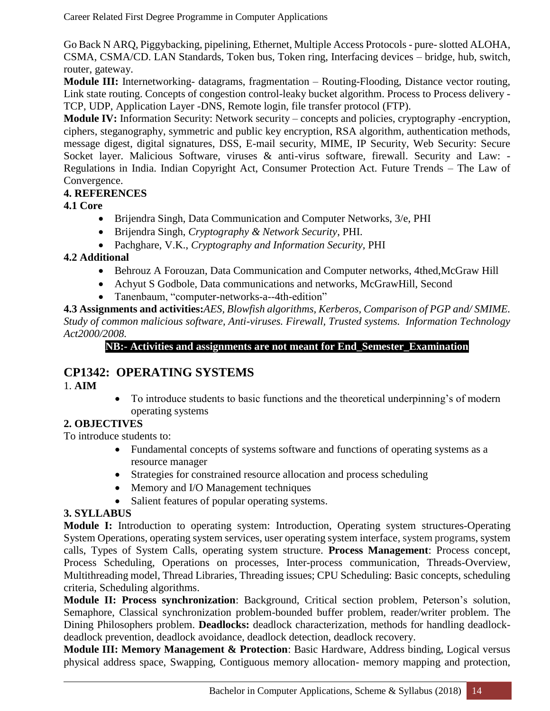Go Back N ARQ, Piggybacking, pipelining, Ethernet, Multiple Access Protocols - pure-slotted ALOHA, CSMA, CSMA/CD. LAN Standards, Token bus, Token ring, Interfacing devices – bridge, hub, switch, router, gateway.

**Module III:** Internetworking- datagrams, fragmentation – Routing-Flooding, Distance vector routing, Link state routing. Concepts of congestion control-leaky bucket algorithm. Process to Process delivery - TCP, UDP, Application Layer -DNS, Remote login, file transfer protocol (FTP).

**Module IV:** Information Security: Network security – concepts and policies, cryptography -encryption, ciphers, steganography, symmetric and public key encryption, RSA algorithm, authentication methods, message digest, digital signatures, DSS, E-mail security, MIME, IP Security, Web Security: Secure Socket layer. Malicious Software, viruses & anti-virus software, firewall. Security and Law: -Regulations in India. Indian Copyright Act, Consumer Protection Act. Future Trends – The Law of Convergence.

#### **4. REFERENCES**

#### **4.1 Core**

- Brijendra Singh, Data Communication and Computer Networks, 3/e, PHI
- Brijendra Singh, *Cryptography & Network Security*, PHI.
- Pachghare, V.K., *Cryptography and Information Security,* PHI

#### **4.2 Additional**

- Behrouz A Forouzan, Data Communication and Computer networks, 4thed,McGraw Hill
- Achyut S Godbole, Data communications and networks, McGrawHill, Second
- Tanenbaum, "computer-networks-a--4th-edition"

**4.3 Assignments and activities:***AES, Blowfish algorithms, Kerberos, Comparison of PGP and/ SMIME. Study of common malicious software, Anti-viruses. Firewall, Trusted systems. Information Technology Act2000/2008.* 

#### **NB:- Activities and assignments are not meant for End\_Semester\_Examination**

#### **CP1342: OPERATING SYSTEMS**

1. **AIM**

• To introduce students to basic functions and the theoretical underpinning's of modern operating systems

#### **2. OBJECTIVES**

To introduce students to:

- Fundamental concepts of systems software and functions of operating systems as a resource manager
- Strategies for constrained resource allocation and process scheduling
- Memory and I/O Management techniques
- Salient features of popular operating systems.

#### **3. SYLLABUS**

**Module I:** Introduction to operating system: Introduction, Operating system structures-Operating System Operations, operating system services, user operating system interface, system programs, system calls, Types of System Calls, operating system structure. **Process Management**: Process concept, Process Scheduling, Operations on processes, Inter-process communication, Threads-Overview, Multithreading model, Thread Libraries, Threading issues; CPU Scheduling: Basic concepts, scheduling criteria, Scheduling algorithms.

**Module II: Process synchronization**: Background, Critical section problem, Peterson's solution, Semaphore, Classical synchronization problem-bounded buffer problem, reader/writer problem. The Dining Philosophers problem. **Deadlocks:** deadlock characterization, methods for handling deadlockdeadlock prevention, deadlock avoidance, deadlock detection, deadlock recovery.

**Module III: Memory Management & Protection**: Basic Hardware, Address binding, Logical versus physical address space, Swapping, Contiguous memory allocation- memory mapping and protection,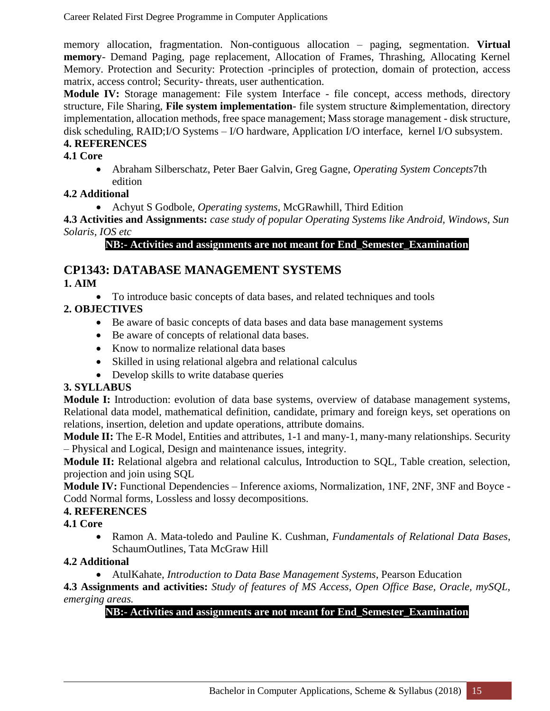memory allocation, fragmentation. Non-contiguous allocation – paging, segmentation. **Virtual memory**- Demand Paging, page replacement, Allocation of Frames, Thrashing, Allocating Kernel Memory. Protection and Security: Protection -principles of protection, domain of protection, access matrix, access control; Security- threats, user authentication.

**Module IV:** Storage management: File system Interface - file concept, access methods, directory structure, File Sharing, **File system implementation**- file system structure &implementation, directory implementation, allocation methods, free space management; Mass storage management - disk structure, disk scheduling, RAID;I/O Systems – I/O hardware, Application I/O interface, kernel I/O subsystem.

#### **4. REFERENCES**

#### **4.1 Core**

 Abraham Silberschatz, Peter Baer Galvin, Greg Gagne, *Operating System Concepts*7th edition

#### **4.2 Additional**

Achyut S Godbole, *Operating systems*, McGRawhill, Third Edition

**4.3 Activities and Assignments:** *case study of popular Operating Systems like Android, Windows, Sun Solaris, IOS etc*

#### **NB:- Activities and assignments are not meant for End\_Semester\_Examination**

### **CP1343: DATABASE MANAGEMENT SYSTEMS**

#### **1. AIM**

To introduce basic concepts of data bases, and related techniques and tools

#### **2. OBJECTIVES**

- Be aware of basic concepts of data bases and data base management systems
- Be aware of concepts of relational data bases.
- Know to normalize relational data bases
- Skilled in using relational algebra and relational calculus
- Develop skills to write database queries

#### **3. SYLLABUS**

**Module I:** Introduction: evolution of data base systems, overview of database management systems, Relational data model, mathematical definition, candidate, primary and foreign keys, set operations on relations, insertion, deletion and update operations, attribute domains.

**Module II:** The E-R Model, Entities and attributes, 1-1 and many-1, many-many relationships. Security – Physical and Logical, Design and maintenance issues, integrity.

**Module II:** Relational algebra and relational calculus, Introduction to SQL, Table creation, selection, projection and join using SQL

**Module IV:** Functional Dependencies – Inference axioms, Normalization, 1NF, 2NF, 3NF and Boyce - Codd Normal forms, Lossless and lossy decompositions.

#### **4. REFERENCES**

**4.1 Core** 

 Ramon A. Mata-toledo and Pauline K. Cushman, *Fundamentals of Relational Data Bases*, SchaumOutlines, Tata McGraw Hill

#### **4.2 Additional**

AtulKahate, *Introduction to Data Base Management Systems*, Pearson Education

**4.3 Assignments and activities:** *Study of features of MS Access, Open Office Base, Oracle, mySQL, emerging areas.* 

#### **NB:- Activities and assignments are not meant for End\_Semester\_Examination**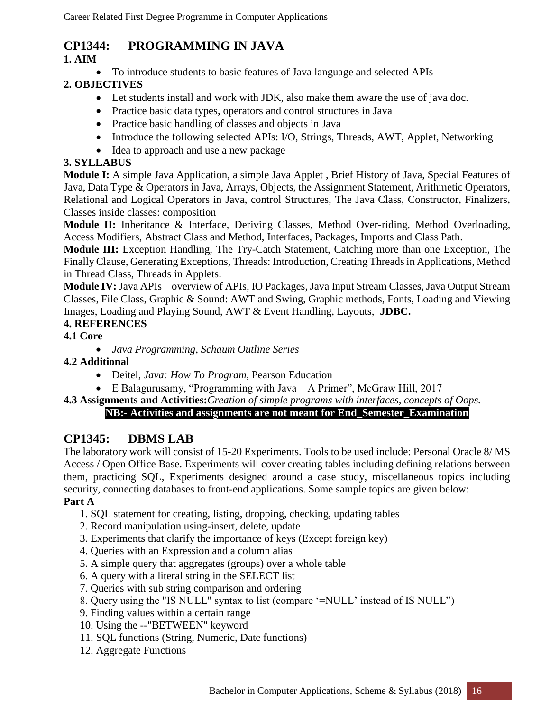### **CP1344: PROGRAMMING IN JAVA**

#### **1. AIM**

To introduce students to basic features of Java language and selected APIs

#### **2. OBJECTIVES**

- Let students install and work with JDK, also make them aware the use of java doc.
- Practice basic data types, operators and control structures in Java
- Practice basic handling of classes and objects in Java
- Introduce the following selected APIs: I/O, Strings, Threads, AWT, Applet, Networking
- Idea to approach and use a new package

#### **3. SYLLABUS**

**Module I:** A simple Java Application, a simple Java Applet , Brief History of Java, Special Features of Java, Data Type & Operators in Java, Arrays, Objects, the Assignment Statement, Arithmetic Operators, Relational and Logical Operators in Java, control Structures, The Java Class, Constructor, Finalizers, Classes inside classes: composition

**Module II:** Inheritance & Interface, Deriving Classes, Method Over-riding, Method Overloading, Access Modifiers, Abstract Class and Method, Interfaces, Packages, Imports and Class Path.

**Module III:** Exception Handling, The Try-Catch Statement, Catching more than one Exception, The Finally Clause, Generating Exceptions, Threads: Introduction, Creating Threads in Applications, Method in Thread Class, Threads in Applets.

**Module IV:** Java APIs – overview of APIs, IO Packages, Java Input Stream Classes, Java Output Stream Classes, File Class, Graphic & Sound: AWT and Swing, Graphic methods, Fonts, Loading and Viewing Images, Loading and Playing Sound, AWT & Event Handling, Layouts, **JDBC.**

#### **4. REFERENCES**

#### **4.1 Core**

*Java Programming*, *Schaum Outline Series*

#### **4.2 Additional**

- Deitel, *Java: How To Program*, Pearson Education
- E Balagurusamy, "Programming with Java A Primer", McGraw Hill, 2017

**4.3 Assignments and Activities:***Creation of simple programs with interfaces, concepts of Oops.*

#### **NB:- Activities and assignments are not meant for End\_Semester\_Examination**

### **CP1345: DBMS LAB**

The laboratory work will consist of 15-20 Experiments. Tools to be used include: Personal Oracle 8/ MS Access / Open Office Base. Experiments will cover creating tables including defining relations between them, practicing SQL, Experiments designed around a case study, miscellaneous topics including security, connecting databases to front-end applications. Some sample topics are given below:

#### **Part A**

- 1. SQL statement for creating, listing, dropping, checking, updating tables
- 2. Record manipulation using-insert, delete, update
- 3. Experiments that clarify the importance of keys (Except foreign key)
- 4. Queries with an Expression and a column alias
- 5. A simple query that aggregates (groups) over a whole table
- 6. A query with a literal string in the SELECT list
- 7. Queries with sub string comparison and ordering
- 8. Query using the "IS NULL" syntax to list (compare '=NULL' instead of IS NULL")
- 9. Finding values within a certain range
- 10. Using the --"BETWEEN" keyword
- 11. SQL functions (String, Numeric, Date functions)
- 12. Aggregate Functions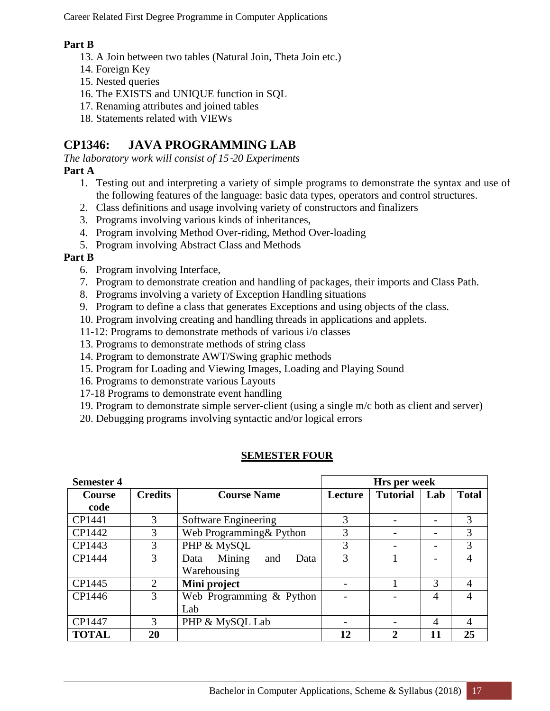#### **Part B**

- 13. A Join between two tables (Natural Join, Theta Join etc.)
- 14. Foreign Key
- 15. Nested queries
- 16. The EXISTS and UNIQUE function in SQL
- 17. Renaming attributes and joined tables
- 18. Statements related with VIEWs

### **CP1346: JAVA PROGRAMMING LAB**

*The laboratory work will consist of 15*‐*20 Experiments*

### **Part A**

- 1. Testing out and interpreting a variety of simple programs to demonstrate the syntax and use of the following features of the language: basic data types, operators and control structures.
- 2. Class definitions and usage involving variety of constructors and finalizers
- 3. Programs involving various kinds of inheritances,
- 4. Program involving Method Over-riding, Method Over-loading
- 5. Program involving Abstract Class and Methods

#### **Part B**

- 6. Program involving Interface,
- 7. Program to demonstrate creation and handling of packages, their imports and Class Path.
- 8. Programs involving a variety of Exception Handling situations
- 9. Program to define a class that generates Exceptions and using objects of the class.
- 10. Program involving creating and handling threads in applications and applets.
- 11-12: Programs to demonstrate methods of various i/o classes
- 13. Programs to demonstrate methods of string class
- 14. Program to demonstrate AWT/Swing graphic methods
- 15. Program for Loading and Viewing Images, Loading and Playing Sound
- 16. Programs to demonstrate various Layouts
- 17-18 Programs to demonstrate event handling
- 19. Program to demonstrate simple server-client (using a single m/c both as client and server)
- 20. Debugging programs involving syntactic and/or logical errors

#### **SEMESTER FOUR**

| <b>Semester 4</b>     |                |                                              |         | Hrs per week    |                          |              |
|-----------------------|----------------|----------------------------------------------|---------|-----------------|--------------------------|--------------|
| <b>Course</b><br>code | <b>Credits</b> | <b>Course Name</b>                           | Lecture | <b>Tutorial</b> | Lab                      | <b>Total</b> |
| CP1441                | 3              | Software Engineering                         | 3       |                 |                          | 3            |
| CP1442                | 3              | Web Programming & Python                     | 3       |                 |                          | 3            |
| CP1443                | 3              | PHP & MySQL                                  | 3       |                 | $\overline{\phantom{0}}$ | 3            |
| CP1444                | 3              | Mining<br>Data<br>and<br>Data<br>Warehousing | 3       |                 |                          | 4            |
| CP1445                | $\overline{2}$ | Mini project                                 |         |                 | 3                        | 4            |
| CP1446                | 3              | Web Programming & Python<br>Lab              |         |                 | 4                        | 4            |
| CP1447                | 3              | PHP & MySQL Lab                              |         |                 | 4                        | 4            |
| <b>TOTAL</b>          | 20             |                                              | 12      | $\overline{2}$  | 11                       | 25           |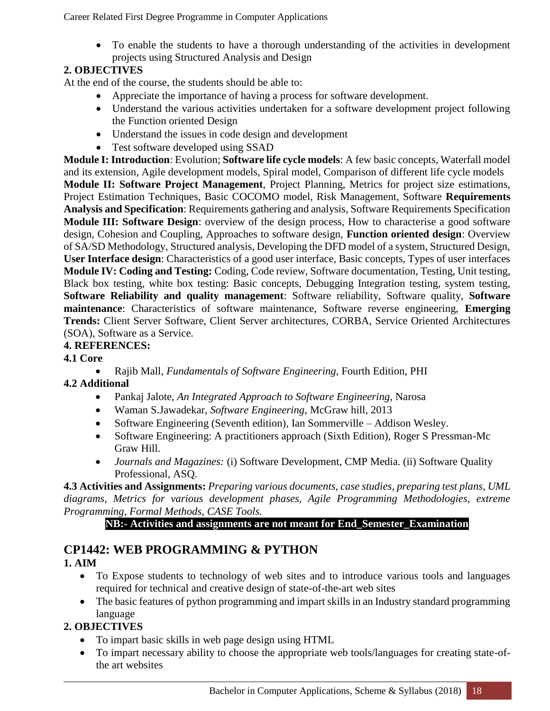To enable the students to have a thorough understanding of the activities in development projects using Structured Analysis and Design

### **2. OBJECTIVES**

At the end of the course, the students should be able to:

- Appreciate the importance of having a process for software development.
- Understand the various activities undertaken for a software development project following the Function oriented Design
- Understand the issues in code design and development
- Test software developed using SSAD

**Module I: Introduction**: Evolution; **Software life cycle models**: A few basic concepts, Waterfall model and its extension, Agile development models, Spiral model, Comparison of different life cycle models **Module II: Software Project Management**, Project Planning, Metrics for project size estimations, Project Estimation Techniques, Basic COCOMO model, Risk Management, Software **Requirements Analysis and Specification**: Requirements gathering and analysis, Software Requirements Specification **Module III: Software Design**: overview of the design process, How to characterise a good software design, Cohesion and Coupling, Approaches to software design, **Function oriented design**: Overview of SA/SD Methodology, Structured analysis, Developing the DFD model of a system, Structured Design, **User Interface design**: Characteristics of a good user interface, Basic concepts, Types of user interfaces **Module IV: Coding and Testing:** Coding, Code review, Software documentation, Testing, Unit testing, Black box testing, white box testing: Basic concepts, Debugging Integration testing, system testing, **Software Reliability and quality management**: Software reliability, Software quality, **Software maintenance**: Characteristics of software maintenance, Software reverse engineering, **Emerging Trends:** Client Server Software, Client Server architectures, CORBA, Service Oriented Architectures (SOA), Software as a Service.

#### **4. REFERENCES:**

**4.1 Core**

 Rajib Mall, *Fundamentals of Software Engineering,* Fourth Edition, PHI **4.2 Additional**

- Pankaj Jalote, *An Integrated Approach to Software Engineering*, Narosa
- Waman S.Jawadekar, *Software Engineering*, McGraw hill, 2013
- Software Engineering (Seventh edition), Ian Sommerville Addison Wesley.
- Software Engineering: A practitioners approach (Sixth Edition), Roger S Pressman-Mc Graw Hill.
- *Journals and Magazines:* (i) Software Development, CMP Media. (ii) Software Quality Professional, ASQ.

**4.3 Activities and Assignments:** *Preparing various documents, case studies, preparing test plans, UML diagrams, Metrics for various development phases, Agile Programming Methodologies, extreme Programming, Formal Methods, CASE Tools.*

#### **NB:- Activities and assignments are not meant for End\_Semester\_Examination**

### **CP1442: WEB PROGRAMMING & PYTHON**

#### **1. AIM**

- To Expose students to technology of web sites and to introduce various tools and languages required for technical and creative design of state-of-the-art web sites
- The basic features of python programming and impart skills in an Industry standard programming language

#### **2. OBJECTIVES**

- To impart basic skills in web page design using HTML
- To impart necessary ability to choose the appropriate web tools/languages for creating state-ofthe art websites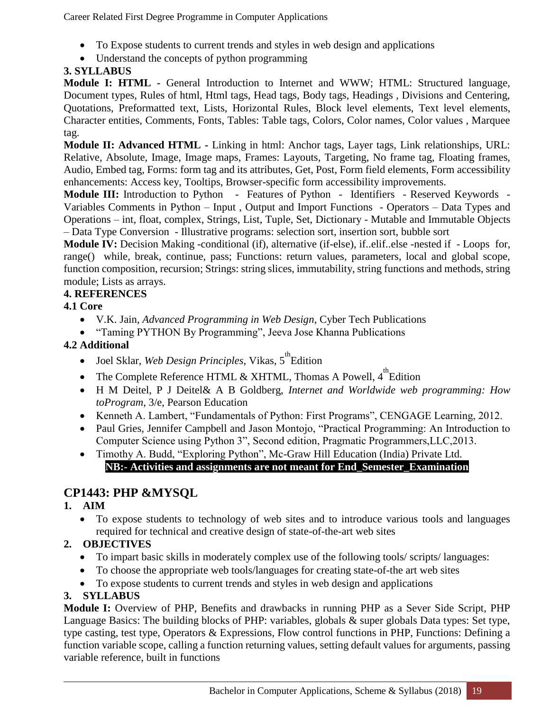- To Expose students to current trends and styles in web design and applications
- Understand the concepts of python programming

#### **3. SYLLABUS**

**Module I: HTML -** General Introduction to Internet and WWW; HTML: Structured language, Document types, Rules of html, Html tags, Head tags, Body tags, Headings , Divisions and Centering, Quotations, Preformatted text, Lists, Horizontal Rules, Block level elements, Text level elements, Character entities, Comments, Fonts, Tables: Table tags, Colors, Color names, Color values , Marquee tag.

**Module II: Advanced HTML -** Linking in html: Anchor tags, Layer tags, Link relationships, URL: Relative, Absolute, Image, Image maps, Frames: Layouts, Targeting, No frame tag, Floating frames, Audio, Embed tag, Forms: form tag and its attributes, Get, Post, Form field elements, Form accessibility enhancements: Access key, Tooltips, Browser-specific form accessibility improvements.

**Module III:** Introduction to Python - Features of Python - Identifiers - Reserved Keywords - Variables Comments in Python – Input , Output and Import Functions - Operators – Data Types and Operations – int, float, complex, Strings, List, Tuple, Set, Dictionary - Mutable and Immutable Objects – Data Type Conversion - Illustrative programs: selection sort, insertion sort, bubble sort

**Module IV:** Decision Making -conditional (if), alternative (if-else), if..elif..else -nested if - Loops for, range() while, break, continue, pass; Functions: return values, parameters, local and global scope, function composition, recursion; Strings: string slices, immutability, string functions and methods, string module; Lists as arrays.

#### **4. REFERENCES**

#### **4.1 Core**

- V.K. Jain, *Advanced Programming in Web Design*, Cyber Tech Publications
- "Taming PYTHON By Programming", Jeeva Jose Khanna Publications

#### **4.2 Additional**

- Joel Sklar, *Web Design Principles*, Vikas, 5<sup>th</sup> Edition
- The Complete Reference HTML & XHTML, Thomas A Powell,  $4^{\text{th}}$  Edition
- H M Deitel, P J Deitel& A B Goldberg, *Internet and Worldwide web programming: How toProgram*, 3/e, Pearson Education
- Kenneth A. Lambert, "Fundamentals of Python: First Programs", CENGAGE Learning, 2012.
- Paul Gries, Jennifer Campbell and Jason Montojo, "Practical Programming: An Introduction to Computer Science using Python 3", Second edition, Pragmatic Programmers,LLC,2013.
- Timothy A. Budd, "Exploring Python", Mc-Graw Hill Education (India) Private Ltd. **NB:- Activities and assignments are not meant for End\_Semester\_Examination**

### **CP1443: PHP &MYSQL**

#### **1. AIM**

 To expose students to technology of web sites and to introduce various tools and languages required for technical and creative design of state-of-the-art web sites

#### **2. OBJECTIVES**

- To impart basic skills in moderately complex use of the following tools/ scripts/ languages:
- To choose the appropriate web tools/languages for creating state-of-the art web sites
- To expose students to current trends and styles in web design and applications

#### **3. SYLLABUS**

**Module I:** Overview of PHP, Benefits and drawbacks in running PHP as a Sever Side Script, PHP Language Basics: The building blocks of PHP: variables, globals & super globals Data types: Set type, type casting, test type, Operators & Expressions, Flow control functions in PHP, Functions: Defining a function variable scope, calling a function returning values, setting default values for arguments, passing variable reference, built in functions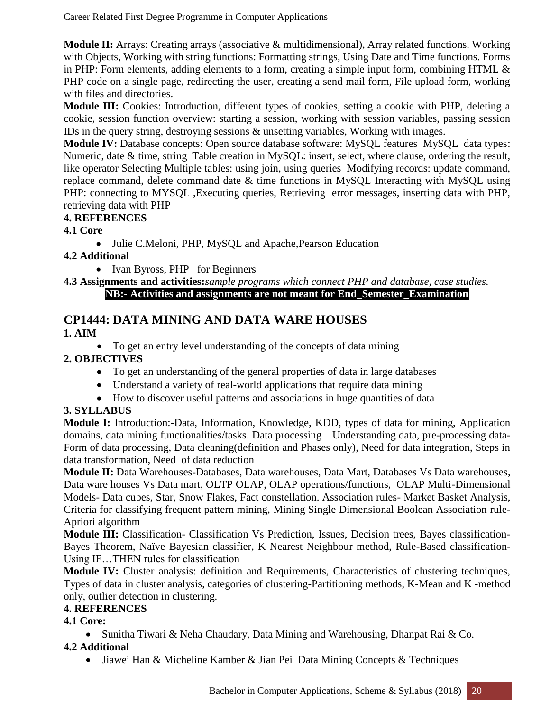**Module II:** Arrays: Creating arrays (associative & multidimensional), Array related functions. Working with Objects, Working with string functions: Formatting strings, Using Date and Time functions. Forms in PHP: Form elements, adding elements to a form, creating a simple input form, combining HTML & PHP code on a single page, redirecting the user, creating a send mail form, File upload form, working with files and directories.

**Module III:** Cookies: Introduction, different types of cookies, setting a cookie with PHP, deleting a cookie, session function overview: starting a session, working with session variables, passing session IDs in the query string, destroying sessions & unsetting variables, Working with images.

**Module IV:** Database concepts: Open source database software: MySQL features MySQL data types: Numeric, date & time, string Table creation in MySQL: insert, select, where clause, ordering the result, like operator Selecting Multiple tables: using join, using queries Modifying records: update command, replace command, delete command date & time functions in MySQL Interacting with MySQL using PHP: connecting to MYSQL ,Executing queries, Retrieving error messages, inserting data with PHP, retrieving data with PHP

#### **4. REFERENCES**

#### **4.1 Core**

Julie C.Meloni, PHP, MySQL and Apache,Pearson Education

#### **4.2 Additional**

• Ivan Byross, PHP for Beginners

#### **4.3 Assignments and activities:***sample programs which connect PHP and database, case studies.*

**NB:- Activities and assignments are not meant for End\_Semester\_Examination**

### **CP1444: DATA MINING AND DATA WARE HOUSES**

#### **1. AIM**

• To get an entry level understanding of the concepts of data mining

#### **2. OBJECTIVES**

- To get an understanding of the general properties of data in large databases
- Understand a variety of real-world applications that require data mining
- How to discover useful patterns and associations in huge quantities of data

#### **3. SYLLABUS**

**Module I:** Introduction:-Data, Information, Knowledge, KDD, types of data for mining, Application domains, data mining functionalities/tasks. Data processing—Understanding data, pre-processing data-Form of data processing, Data cleaning(definition and Phases only), Need for data integration, Steps in data transformation, Need of data reduction

**Module II:** Data Warehouses-Databases, Data warehouses, Data Mart, Databases Vs Data warehouses, Data ware houses Vs Data mart, OLTP OLAP, OLAP operations/functions, OLAP Multi-Dimensional Models- Data cubes, Star, Snow Flakes, Fact constellation. Association rules- Market Basket Analysis, Criteria for classifying frequent pattern mining, Mining Single Dimensional Boolean Association rule-Apriori algorithm

**Module III:** Classification- Classification Vs Prediction, Issues, Decision trees, Bayes classification-Bayes Theorem, Naïve Bayesian classifier, K Nearest Neighbour method, Rule-Based classification-Using IF…THEN rules for classification

**Module IV:** Cluster analysis: definition and Requirements, Characteristics of clustering techniques, Types of data in cluster analysis, categories of clustering-Partitioning methods, K-Mean and K -method only, outlier detection in clustering.

#### **4. REFERENCES**

#### **4.1 Core:**

• Sunitha Tiwari & Neha Chaudary, Data Mining and Warehousing, Dhanpat Rai & Co.

#### **4.2 Additional**

• Jiawei Han & Micheline Kamber & Jian Pei Data Mining Concepts & Techniques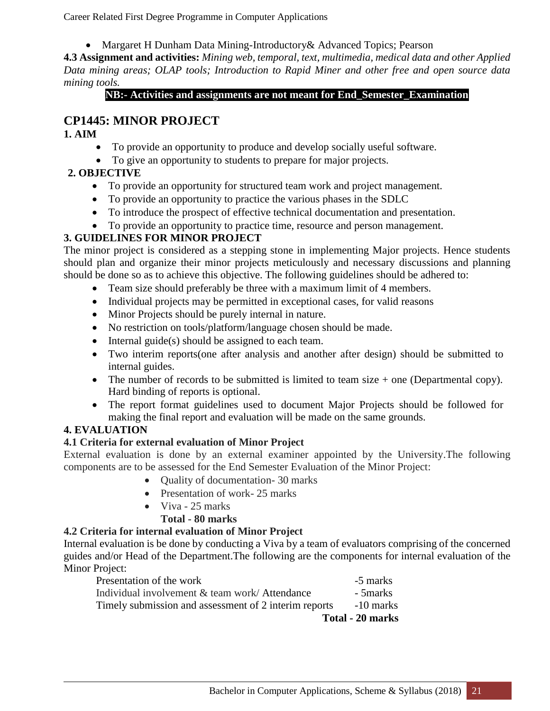Margaret H Dunham Data Mining-Introductory& Advanced Topics; Pearson

**4.3 Assignment and activities:** *Mining web, temporal, text, multimedia, medical data and other Applied Data mining areas; OLAP tools; Introduction to Rapid Miner and other free and open source data mining tools.*

#### **NB:- Activities and assignments are not meant for End\_Semester\_Examination**

#### **CP1445: MINOR PROJECT**

#### **1. AIM**

- To provide an opportunity to produce and develop socially useful software.
- To give an opportunity to students to prepare for major projects.

#### **2. OBJECTIVE**

- To provide an opportunity for structured team work and project management.
- To provide an opportunity to practice the various phases in the SDLC
- To introduce the prospect of effective technical documentation and presentation.
- To provide an opportunity to practice time, resource and person management.

### **3. GUIDELINES FOR MINOR PROJECT**

The minor project is considered as a stepping stone in implementing Major projects. Hence students should plan and organize their minor projects meticulously and necessary discussions and planning should be done so as to achieve this objective. The following guidelines should be adhered to:

- Team size should preferably be three with a maximum limit of 4 members.
- Individual projects may be permitted in exceptional cases, for valid reasons
- Minor Projects should be purely internal in nature.
- No restriction on tools/platform/language chosen should be made.
- $\bullet$  Internal guide(s) should be assigned to each team.
- Two interim reports(one after analysis and another after design) should be submitted to internal guides.
- The number of records to be submitted is limited to team size  $+$  one (Departmental copy). Hard binding of reports is optional.
- The report format guidelines used to document Major Projects should be followed for making the final report and evaluation will be made on the same grounds.

#### **4. EVALUATION**

#### **4.1 Criteria for external evaluation of Minor Project**

External evaluation is done by an external examiner appointed by the University.The following components are to be assessed for the End Semester Evaluation of the Minor Project:

- Ouality of documentation- 30 marks
- Presentation of work- 25 marks
- $\bullet$  Viva 25 marks
	- **Total - 80 marks**

#### **4.2 Criteria for internal evaluation of Minor Project**

Internal evaluation is be done by conducting a Viva by a team of evaluators comprising of the concerned guides and/or Head of the Department.The following are the components for internal evaluation of the Minor Project:

| - 5 marks                            |
|--------------------------------------|
| -10 marks<br><b>Total - 20 marks</b> |
|                                      |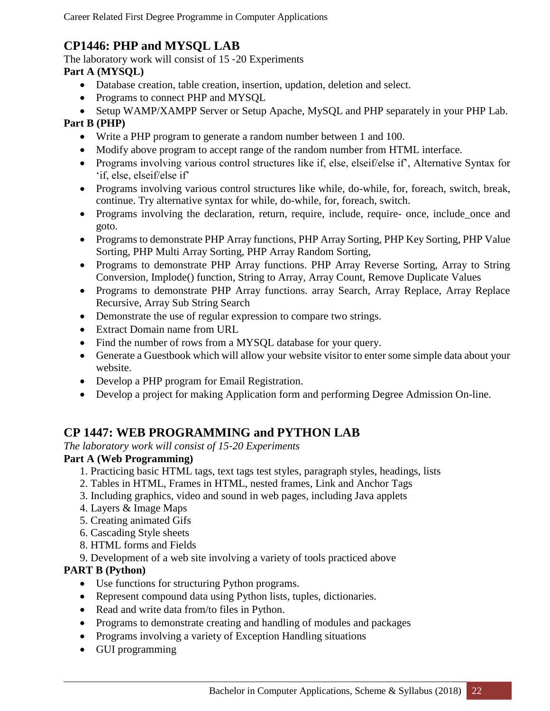### **CP1446: PHP and MYSQL LAB**

The laboratory work will consist of 15 ‐20 Experiments

#### **Part A (MYSQL)**

- Database creation, table creation, insertion, updation, deletion and select.
- Programs to connect PHP and MYSQL
- Setup WAMP/XAMPP Server or Setup Apache, MySQL and PHP separately in your PHP Lab.

#### **Part B (PHP)**

- Write a PHP program to generate a random number between 1 and 100.
- Modify above program to accept range of the random number from HTML interface.
- Programs involving various control structures like if, else, elseif/else if', Alternative Syntax for 'if, else, elseif/else if'
- Programs involving various control structures like while, do-while, for, foreach, switch, break, continue. Try alternative syntax for while, do-while, for, foreach, switch.
- Programs involving the declaration, return, require, include, require- once, include once and goto.
- Programs to demonstrate PHP Array functions, PHP Array Sorting, PHP Key Sorting, PHP Value Sorting, PHP Multi Array Sorting, PHP Array Random Sorting,
- Programs to demonstrate PHP Array functions. PHP Array Reverse Sorting, Array to String Conversion, Implode() function, String to Array, Array Count, Remove Duplicate Values
- Programs to demonstrate PHP Array functions. array Search, Array Replace, Array Replace Recursive, Array Sub String Search
- Demonstrate the use of regular expression to compare two strings.
- Extract Domain name from URL
- Find the number of rows from a MYSQL database for your query.
- Generate a Guestbook which will allow your website visitor to enter some simple data about your website.
- Develop a PHP program for Email Registration.
- Develop a project for making Application form and performing Degree Admission On-line.

### **CP 1447: WEB PROGRAMMING and PYTHON LAB**

*The laboratory work will consist of 15*‐*20 Experiments* 

#### **Part A (Web Programming)**

- 1. Practicing basic HTML tags, text tags test styles, paragraph styles, headings, lists
- 2. Tables in HTML, Frames in HTML, nested frames, Link and Anchor Tags
- 3. Including graphics, video and sound in web pages, including Java applets
- 4. Layers & Image Maps
- 5. Creating animated Gifs
- 6. Cascading Style sheets
- 8. HTML forms and Fields
- 9. Development of a web site involving a variety of tools practiced above

#### **PART B (Python)**

- Use functions for structuring Python programs.
- Represent compound data using Python lists, tuples, dictionaries.
- Read and write data from/to files in Python.
- Programs to demonstrate creating and handling of modules and packages
- Programs involving a variety of Exception Handling situations
- GUI programming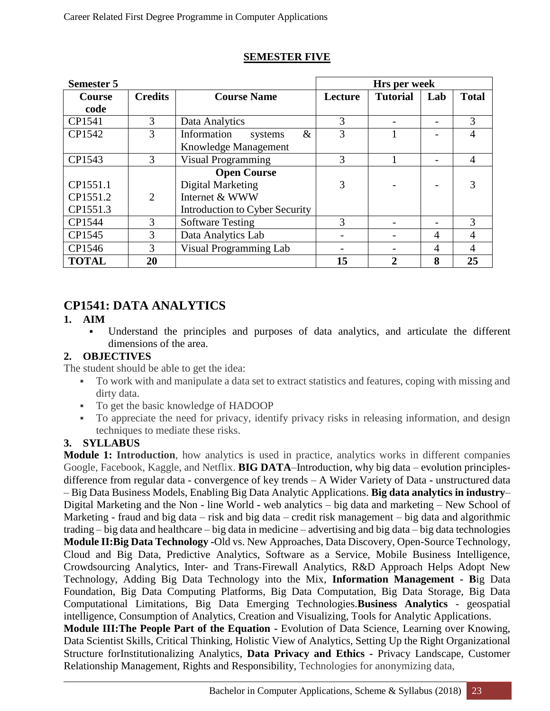| <b>Semester 5</b> |                |                                | Hrs per week |                 |     |                |  |
|-------------------|----------------|--------------------------------|--------------|-----------------|-----|----------------|--|
| <b>Course</b>     | <b>Credits</b> | <b>Course Name</b>             | Lecture      | <b>Tutorial</b> | Lab | <b>Total</b>   |  |
| code              |                |                                |              |                 |     |                |  |
| CP1541            | 3              | Data Analytics                 | 3            |                 |     | 3              |  |
| CP1542            | 3              | &<br>Information<br>systems    | 3            |                 |     | 4              |  |
|                   |                | Knowledge Management           |              |                 |     |                |  |
| CP1543            | 3              | <b>Visual Programming</b>      | 3            |                 |     | $\overline{4}$ |  |
|                   |                | <b>Open Course</b>             |              |                 |     |                |  |
| CP1551.1          |                | Digital Marketing              | 3            |                 |     |                |  |
| CP1551.2          | $\overline{2}$ | Internet & WWW                 |              |                 |     |                |  |
| CP1551.3          |                | Introduction to Cyber Security |              |                 |     |                |  |
| CP1544            | 3              | <b>Software Testing</b>        | 3            |                 |     | 3              |  |
| CP1545            | 3              | Data Analytics Lab             |              |                 | 4   | 4              |  |
| CP1546            | 3              | Visual Programming Lab         |              |                 | 4   | $\overline{4}$ |  |
| <b>TOTAL</b>      | 20             |                                | 15           | 2               | 8   | 25             |  |

#### **SEMESTER FIVE**

### **CP1541: DATA ANALYTICS**

#### **1. AIM**

 Understand the principles and purposes of data analytics, and articulate the different dimensions of the area.

#### **2. OBJECTIVES**

The student should be able to get the idea:

- To work with and manipulate a data set to extract statistics and features, coping with missing and dirty data.
- To get the basic knowledge of HADOOP
- To appreciate the need for privacy, identify privacy risks in releasing information, and design techniques to mediate these risks.

#### **3. SYLLABUS**

**Module 1: Introduction**, how analytics is used in practice, analytics works in different companies Google, Facebook, Kaggle, and Netflix. **BIG DATA**–Introduction, why big data – evolution principlesdifference from regular data - convergence of key trends – A Wider Variety of Data **-** unstructured data – Big Data Business Models, Enabling Big Data Analytic Applications. **Big data analytics in industry**– Digital Marketing and the Non - line World **-** web analytics – big data and marketing – New School of Marketing - fraud and big data – risk and big data – credit risk management – big data and algorithmic trading – big data and healthcare – big data in medicine – advertising and big data – big data technologies **Module II:Big Data Technology -**Old vs. New Approaches, Data Discovery, Open-Source Technology, Cloud and Big Data, Predictive Analytics, Software as a Service, Mobile Business Intelligence, Crowdsourcing Analytics, Inter- and Trans-Firewall Analytics, R&D Approach Helps Adopt New Technology, Adding Big Data Technology into the Mix, **Information Management - B**ig Data Foundation, Big Data Computing Platforms, Big Data Computation, Big Data Storage, Big Data Computational Limitations, Big Data Emerging Technologies.**Business Analytics** - geospatial intelligence, Consumption of Analytics, Creation and Visualizing, Tools for Analytic Applications.

**Module III:The People Part of the Equation -** Evolution of Data Science, Learning over Knowing, Data Scientist Skills, Critical Thinking, Holistic View of Analytics, Setting Up the Right Organizational Structure forInstitutionalizing Analytics, **Data Privacy and Ethics -** Privacy Landscape, Customer Relationship Management, Rights and Responsibility, Technologies for anonymizing data,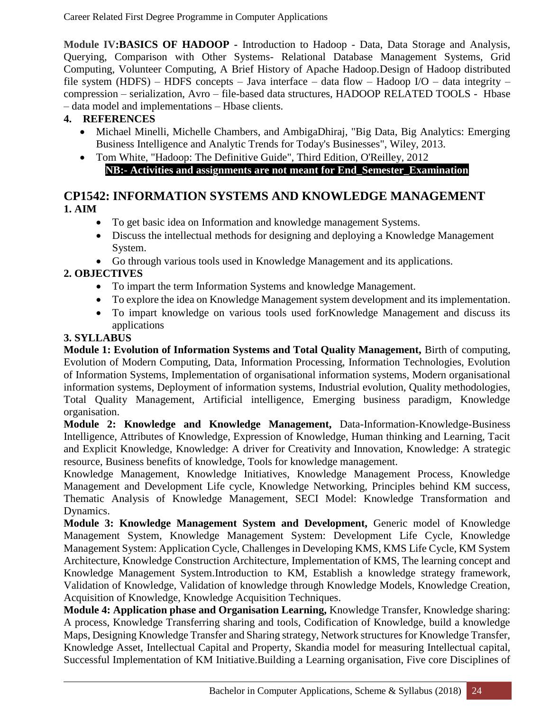**Module IV:BASICS OF HADOOP -** Introduction to Hadoop - Data, Data Storage and Analysis, Querying, Comparison with Other Systems- Relational Database Management Systems, Grid Computing, Volunteer Computing, A Brief History of Apache Hadoop.Design of Hadoop distributed file system (HDFS) – HDFS concepts – Java interface – data flow – Hadoop I/O – data integrity – compression – serialization, Avro – file-based data structures, HADOOP RELATED TOOLS - Hbase – data model and implementations – Hbase clients.

#### **4. REFERENCES**

- Michael Minelli, Michelle Chambers, and AmbigaDhiraj, "Big Data, Big Analytics: Emerging Business Intelligence and Analytic Trends for Today's Businesses", Wiley, 2013.
- Tom White, "Hadoop: The Definitive Guide", Third Edition, O'Reilley, 2012 **NB:- Activities and assignments are not meant for End\_Semester\_Examination**

#### **CP1542: INFORMATION SYSTEMS AND KNOWLEDGE MANAGEMENT 1. AIM**

- To get basic idea on Information and knowledge management Systems.
- Discuss the intellectual methods for designing and deploying a Knowledge Management System.
- Go through various tools used in Knowledge Management and its applications.

### **2. OBJECTIVES**

- To impart the term Information Systems and knowledge Management.
- To explore the idea on Knowledge Management system development and its implementation.
- To impart knowledge on various tools used forKnowledge Management and discuss its applications

#### **3. SYLLABUS**

**Module 1: Evolution of Information Systems and Total Quality Management,** Birth of computing, Evolution of Modern Computing, Data, Information Processing, Information Technologies, Evolution of Information Systems, Implementation of organisational information systems, Modern organisational information systems, Deployment of information systems, Industrial evolution, Quality methodologies, Total Quality Management, Artificial intelligence, Emerging business paradigm, Knowledge organisation.

**Module 2: Knowledge and Knowledge Management,** Data-Information-Knowledge-Business Intelligence, Attributes of Knowledge, Expression of Knowledge, Human thinking and Learning, Tacit and Explicit Knowledge, Knowledge: A driver for Creativity and Innovation, Knowledge: A strategic resource, Business benefits of knowledge, Tools for knowledge management.

Knowledge Management, Knowledge Initiatives, Knowledge Management Process, Knowledge Management and Development Life cycle, Knowledge Networking, Principles behind KM success, Thematic Analysis of Knowledge Management, SECI Model: Knowledge Transformation and Dynamics.

**Module 3: Knowledge Management System and Development,** Generic model of Knowledge Management System, Knowledge Management System: Development Life Cycle, Knowledge Management System: Application Cycle, Challenges in Developing KMS, KMS Life Cycle, KM System Architecture, Knowledge Construction Architecture, Implementation of KMS, The learning concept and Knowledge Management System.Introduction to KM, Establish a knowledge strategy framework, Validation of Knowledge, Validation of knowledge through Knowledge Models, Knowledge Creation, Acquisition of Knowledge, Knowledge Acquisition Techniques.

**Module 4: Application phase and Organisation Learning,** Knowledge Transfer, Knowledge sharing: A process, Knowledge Transferring sharing and tools, Codification of Knowledge, build a knowledge Maps, Designing Knowledge Transfer and Sharing strategy, Network structures for Knowledge Transfer, Knowledge Asset, Intellectual Capital and Property, Skandia model for measuring Intellectual capital, Successful Implementation of KM Initiative.Building a Learning organisation, Five core Disciplines of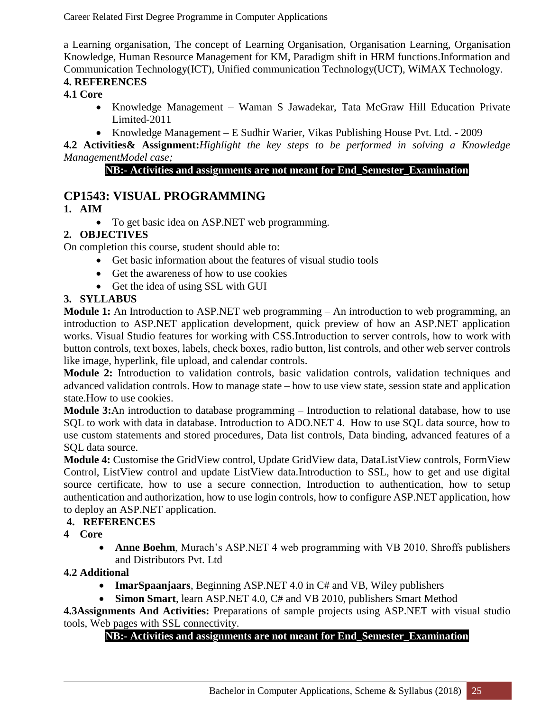a Learning organisation, The concept of Learning Organisation, Organisation Learning, Organisation Knowledge, Human Resource Management for KM, Paradigm shift in HRM functions.Information and Communication Technology(ICT), Unified communication Technology(UCT), WiMAX Technology.

#### **4. REFERENCES**

#### **4.1 Core**

- Knowledge Management Waman S Jawadekar, Tata McGraw Hill Education Private Limited-2011
- Knowledge Management E Sudhir Warier, Vikas Publishing House Pvt. Ltd. 2009

**4.2 Activities& Assignment:***Highlight the key steps to be performed in solving a Knowledge ManagementModel case;* 

#### **NB:- Activities and assignments are not meant for End\_Semester\_Examination**

### **CP1543: VISUAL PROGRAMMING**

#### **1. AIM**

To get basic idea on ASP.NET web programming.

#### **2. OBJECTIVES**

On completion this course, student should able to:

- Get basic information about the features of visual studio tools
- Get the awareness of how to use cookies
- Get the idea of using SSL with GUI

#### **3. SYLLABUS**

**Module 1:** An Introduction to ASP.NET web programming – An introduction to web programming, an introduction to ASP.NET application development, quick preview of how an ASP.NET application works. Visual Studio features for working with CSS.Introduction to server controls, how to work with button controls, text boxes, labels, check boxes, radio button, list controls, and other web server controls like image, hyperlink, file upload, and calendar controls.

**Module 2:** Introduction to validation controls, basic validation controls, validation techniques and advanced validation controls. How to manage state – how to use view state, session state and application state.How to use cookies.

**Module 3:**An introduction to database programming – Introduction to relational database, how to use SQL to work with data in database. Introduction to ADO.NET 4. How to use SQL data source, how to use custom statements and stored procedures, Data list controls, Data binding, advanced features of a SQL data source.

**Module 4:** Customise the GridView control, Update GridView data, DataListView controls, FormView Control, ListView control and update ListView data.Introduction to SSL, how to get and use digital source certificate, how to use a secure connection, Introduction to authentication, how to setup authentication and authorization, how to use login controls, how to configure ASP.NET application, how to deploy an ASP.NET application.

#### **4. REFERENCES**

**4 Core**

 **Anne Boehm**, Murach's ASP.NET 4 web programming with VB 2010, Shroffs publishers and Distributors Pvt. Ltd

#### **4.2 Additional**

- **ImarSpaanjaars**, Beginning ASP.NET 4.0 in C# and VB, Wiley publishers
- **Simon Smart**, learn ASP.NET 4.0, C# and VB 2010, publishers Smart Method

**4.3Assignments And Activities:** Preparations of sample projects using ASP.NET with visual studio tools, Web pages with SSL connectivity.

#### **NB:- Activities and assignments are not meant for End\_Semester\_Examination**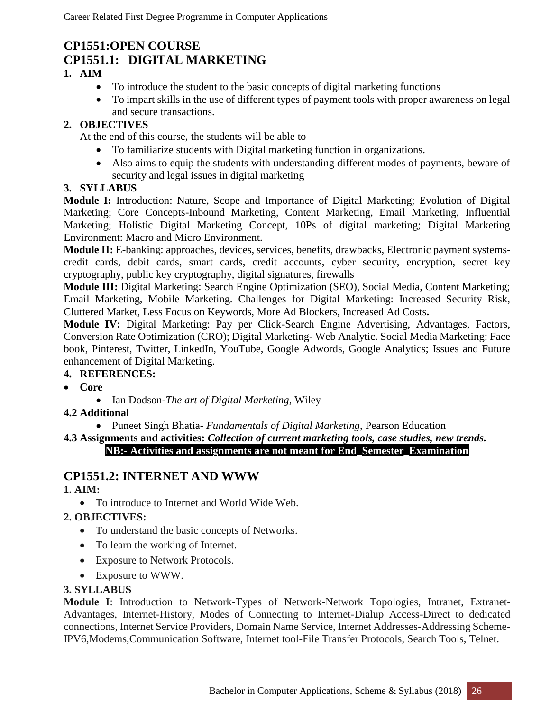### **CP1551:OPEN COURSE CP1551.1: DIGITAL MARKETING**

#### **1. AIM**

- To introduce the student to the basic concepts of digital marketing functions
- To impart skills in the use of different types of payment tools with proper awareness on legal and secure transactions.

#### **2. OBJECTIVES**

At the end of this course, the students will be able to

- To familiarize students with Digital marketing function in organizations.
- Also aims to equip the students with understanding different modes of payments, beware of security and legal issues in digital marketing

#### **3. SYLLABUS**

**Module I:** Introduction: Nature, Scope and Importance of Digital Marketing; Evolution of Digital Marketing; Core Concepts-Inbound Marketing, Content Marketing, Email Marketing, Influential Marketing; Holistic Digital Marketing Concept, 10Ps of digital marketing; Digital Marketing Environment: Macro and Micro Environment.

**Module II:** E-banking: approaches, devices, services, benefits, drawbacks, Electronic payment systemscredit cards, debit cards, smart cards, credit accounts, cyber security, encryption, secret key cryptography, public key cryptography, digital signatures, firewalls

**Module III:** Digital Marketing: Search Engine Optimization (SEO), Social Media, Content Marketing; Email Marketing, Mobile Marketing. Challenges for Digital Marketing: Increased Security Risk, Cluttered Market, Less Focus on Keywords, More Ad Blockers, Increased Ad Costs**.**

**Module IV:** Digital Marketing: Pay per Click-Search Engine Advertising, Advantages, Factors, Conversion Rate Optimization (CRO); Digital Marketing- Web Analytic. Social Media Marketing: Face book, Pinterest, Twitter, LinkedIn, YouTube, Google Adwords, Google Analytics; Issues and Future enhancement of Digital Marketing.

#### **4. REFERENCES:**

- **Core**
	- Ian Dodson-*The art of Digital Marketing*, Wiley
- **4.2 Additional**

Puneet Singh Bhatia- *Fundamentals of Digital Marketing*, Pearson Education

#### **4.3 Assignments and activities:** *Collection of current marketing tools, case studies, new trends.* **NB:- Activities and assignments are not meant for End\_Semester\_Examination**

### **CP1551.2: INTERNET AND WWW**

#### **1. AIM:**

• To introduce to Internet and World Wide Web.

#### **2. OBJECTIVES:**

- To understand the basic concepts of Networks.
- To learn the working of Internet.
- Exposure to Network Protocols.
- Exposure to WWW.

#### **3. SYLLABUS**

**Module I**: Introduction to Network-Types of Network-Network Topologies, Intranet, Extranet-Advantages, Internet-History, Modes of Connecting to Internet-Dialup Access-Direct to dedicated connections, Internet Service Providers, Domain Name Service, Internet Addresses-Addressing Scheme-IPV6,Modems,Communication Software, Internet tool-File Transfer Protocols, Search Tools, Telnet.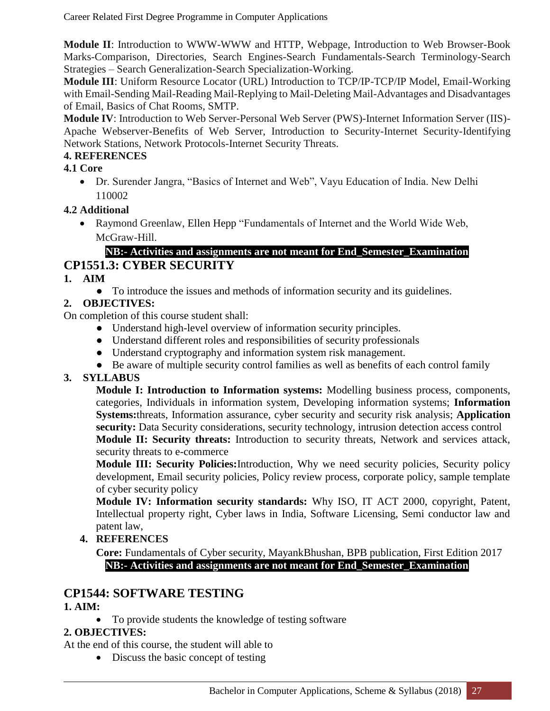**Module II**: Introduction to WWW-WWW and HTTP, Webpage, Introduction to Web Browser-Book Marks-Comparison, Directories, Search Engines-Search Fundamentals-Search Terminology-Search Strategies – Search Generalization-Search Specialization-Working.

**Module III**: Uniform Resource Locator (URL) Introduction to TCP/IP-TCP/IP Model, Email-Working with Email-Sending Mail-Reading Mail-Replying to Mail-Deleting Mail-Advantages and Disadvantages of Email, Basics of Chat Rooms, SMTP.

**Module IV**: Introduction to Web Server-Personal Web Server (PWS)-Internet Information Server (IIS)- Apache Webserver-Benefits of Web Server, Introduction to Security-Internet Security-Identifying Network Stations, Network Protocols-Internet Security Threats.

#### **4. REFERENCES**

#### **4.1 Core**

 Dr. Surender Jangra, "Basics of Internet and Web", Vayu Education of India. New Delhi 110002

#### **4.2 Additional**

 Raymond Greenlaw, Ellen Hepp "Fundamentals of Internet and the World Wide Web, McGraw-Hill.

#### **NB:- Activities and assignments are not meant for End\_Semester\_Examination CP1551.3: CYBER SECURITY**

#### **1. AIM**

● To introduce the issues and methods of information security and its guidelines.

#### **2. OBJECTIVES:**

On completion of this course student shall:

- Understand high-level overview of information security principles.
- Understand different roles and responsibilities of security professionals
- Understand cryptography and information system risk management.
- Be aware of multiple security control families as well as benefits of each control family

#### **3. SYLLABUS**

**Module I: Introduction to Information systems:** Modelling business process, components, categories, Individuals in information system, Developing information systems; **Information Systems:**threats, Information assurance, cyber security and security risk analysis; **Application**  security: Data Security considerations, security technology, intrusion detection access control **Module II: Security threats:** Introduction to security threats, Network and services attack, security threats to e-commerce

**Module III: Security Policies:**Introduction, Why we need security policies, Security policy development, Email security policies, Policy review process, corporate policy, sample template of cyber security policy

**Module IV: Information security standards:** Why ISO, IT ACT 2000, copyright, Patent, Intellectual property right, Cyber laws in India, Software Licensing, Semi conductor law and patent law,

#### **4. REFERENCES**

**Core:** Fundamentals of Cyber security, MayankBhushan, BPB publication, First Edition 2017 **NB:- Activities and assignments are not meant for End\_Semester\_Examination**

### **CP1544: SOFTWARE TESTING**

#### **1. AIM:**

• To provide students the knowledge of testing software

#### **2. OBJECTIVES:**

At the end of this course, the student will able to

• Discuss the basic concept of testing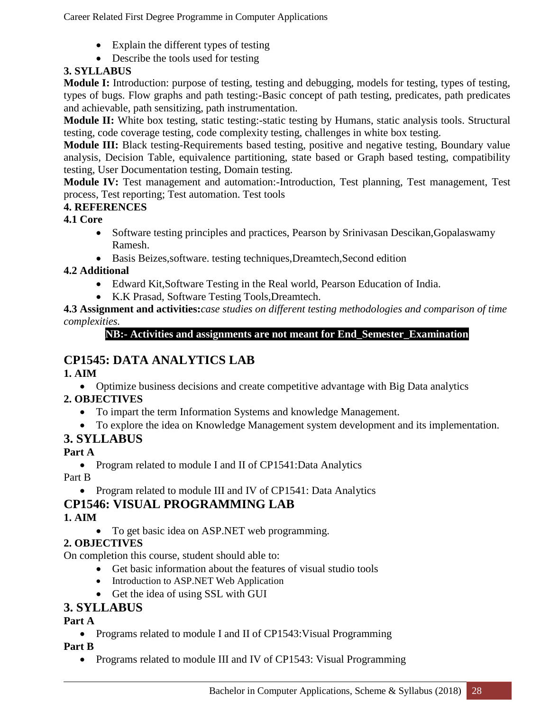- Explain the different types of testing
- Describe the tools used for testing

#### **3. SYLLABUS**

**Module I:** Introduction: purpose of testing, testing and debugging, models for testing, types of testing, types of bugs. Flow graphs and path testing:-Basic concept of path testing, predicates, path predicates and achievable, path sensitizing, path instrumentation.

**Module II:** White box testing, static testing:-static testing by Humans, static analysis tools. Structural testing, code coverage testing, code complexity testing, challenges in white box testing.

**Module III:** Black testing-Requirements based testing, positive and negative testing, Boundary value analysis, Decision Table, equivalence partitioning, state based or Graph based testing, compatibility testing, User Documentation testing, Domain testing.

**Module IV:** Test management and automation:-Introduction, Test planning, Test management, Test process, Test reporting; Test automation. Test tools

#### **4. REFERENCES**

#### **4.1 Core**

- Software testing principles and practices, Pearson by Srinivasan Descikan, Gopalaswamy Ramesh.
- Basis Beizes,software. testing techniques,Dreamtech,Second edition

#### **4.2 Additional**

- Edward Kit,Software Testing in the Real world, Pearson Education of India.
- K.K Prasad, Software Testing Tools,Dreamtech.

**4.3 Assignment and activities:***case studies on different testing methodologies and comparison of time complexities.*

**NB:- Activities and assignments are not meant for End\_Semester\_Examination**

### **CP1545: DATA ANALYTICS LAB**

**1. AIM**

Optimize business decisions and create competitive advantage with Big Data analytics

#### **2. OBJECTIVES**

- To impart the term Information Systems and knowledge Management.
- To explore the idea on Knowledge Management system development and its implementation.

### **3. SYLLABUS**

**Part A**

• Program related to module I and II of CP1541:Data Analytics

Part B

• Program related to module III and IV of CP1541: Data Analytics

### **CP1546: VISUAL PROGRAMMING LAB**

#### **1. AIM**

To get basic idea on ASP.NET web programming.

#### **2. OBJECTIVES**

On completion this course, student should able to:

- Get basic information about the features of visual studio tools
- Introduction to ASP.NET Web Application
- Get the idea of using SSL with GUI

### **3. SYLLABUS**

#### **Part A**

• Programs related to module I and II of CP1543: Visual Programming

#### **Part B**

• Programs related to module III and IV of CP1543: Visual Programming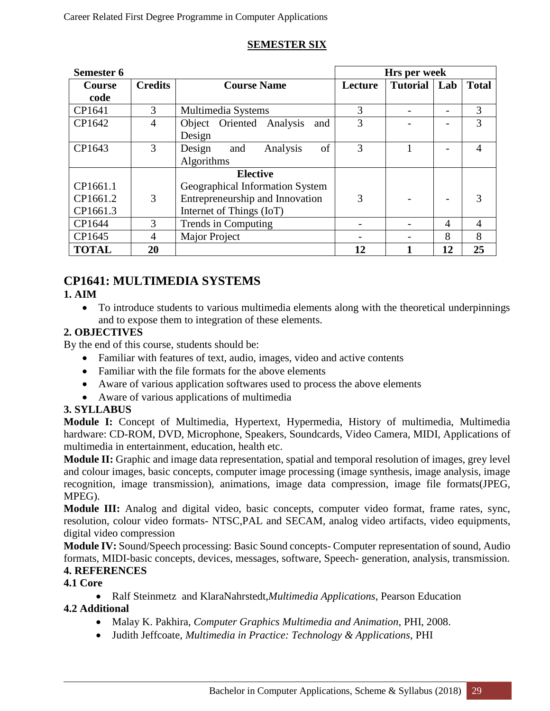#### **SEMESTER SIX**

| Semester 6    |                |                                 | Hrs per week |                 |     |              |  |
|---------------|----------------|---------------------------------|--------------|-----------------|-----|--------------|--|
| <b>Course</b> | <b>Credits</b> | <b>Course Name</b>              | Lecture      | <b>Tutorial</b> | Lab | <b>Total</b> |  |
| code          |                |                                 |              |                 |     |              |  |
| CP1641        | 3              | Multimedia Systems              | 3            |                 |     | 3            |  |
| CP1642        | $\overline{4}$ | Object Oriented Analysis<br>and | 3            |                 |     | 3            |  |
|               |                | Design                          |              |                 |     |              |  |
| CP1643        | 3              | of<br>Design<br>Analysis<br>and | 3            |                 |     | 4            |  |
|               |                | Algorithms                      |              |                 |     |              |  |
|               |                | <b>Elective</b>                 |              |                 |     |              |  |
| CP1661.1      |                | Geographical Information System |              |                 |     |              |  |
| CP1661.2      | 3              | Entrepreneurship and Innovation | 3            |                 |     | 3            |  |
| CP1661.3      |                | Internet of Things (IoT)        |              |                 |     |              |  |
| CP1644        | 3              | Trends in Computing             |              |                 | 4   | 4            |  |
| CP1645        | 4              | <b>Major Project</b>            |              |                 | 8   | 8            |  |
| <b>TOTAL</b>  | 20             |                                 | 12           |                 | 12  | 25           |  |

### **CP1641: MULTIMEDIA SYSTEMS**

#### **1. AIM**

 To introduce students to various multimedia elements along with the theoretical underpinnings and to expose them to integration of these elements.

#### **2. OBJECTIVES**

By the end of this course, students should be:

- Familiar with features of text, audio, images, video and active contents
- Familiar with the file formats for the above elements
- Aware of various application softwares used to process the above elements
- Aware of various applications of multimedia

#### **3. SYLLABUS**

**Module I:** Concept of Multimedia, Hypertext, Hypermedia, History of multimedia, Multimedia hardware: CD-ROM, DVD, Microphone, Speakers, Soundcards, Video Camera, MIDI, Applications of multimedia in entertainment, education, health etc.

**Module II:** Graphic and image data representation, spatial and temporal resolution of images, grey level and colour images, basic concepts, computer image processing (image synthesis, image analysis, image recognition, image transmission), animations, image data compression, image file formats(JPEG, MPEG).

**Module III:** Analog and digital video, basic concepts, computer video format, frame rates, sync, resolution, colour video formats- NTSC,PAL and SECAM, analog video artifacts, video equipments, digital video compression

**Module IV:** Sound/Speech processing: Basic Sound concepts- Computer representation of sound, Audio formats, MIDI-basic concepts, devices, messages, software, Speech- generation, analysis, transmission. **4. REFERENCES**

#### **4.1 Core**

 Ralf Steinmetz and KlaraNahrstedt,*Multimedia Applications*, Pearson Education **4.2 Additional** 

- Malay K. Pakhira, *Computer Graphics Multimedia and Animation*, PHI, 2008.
- Judith Jeffcoate, *Multimedia in Practice: Technology & Applications*, PHI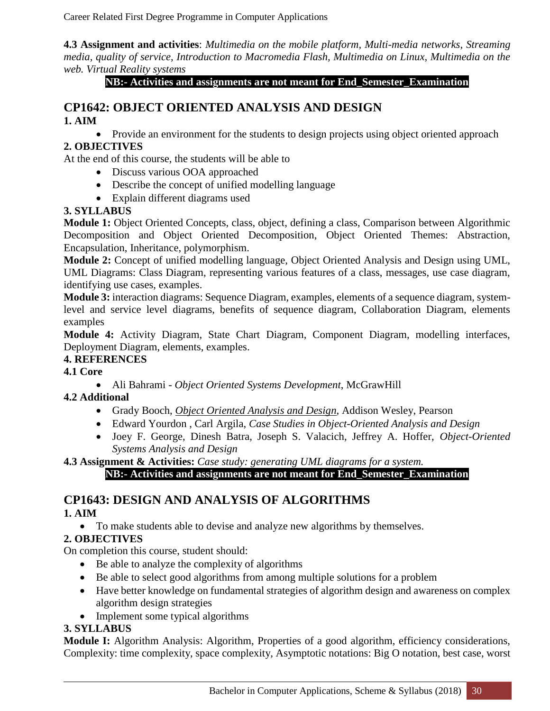**4.3 Assignment and activities**: *Multimedia on the mobile platform, Multi-media networks, Streaming media, quality of service, Introduction to Macromedia Flash, Multimedia on Linux, Multimedia on the web. Virtual Reality systems*

**NB:- Activities and assignments are not meant for End\_Semester\_Examination**

#### **CP1642: OBJECT ORIENTED ANALYSIS AND DESIGN 1. AIM**

• Provide an environment for the students to design projects using object oriented approach

#### **2. OBJECTIVES**

At the end of this course, the students will be able to

- Discuss various OOA approached
- Describe the concept of unified modelling language
- Explain different diagrams used

#### **3. SYLLABUS**

**Module 1:** Object Oriented Concepts, class, object, defining a class, Comparison between Algorithmic Decomposition and Object Oriented Decomposition, Object Oriented Themes: Abstraction, Encapsulation, Inheritance, polymorphism.

**Module 2:** Concept of unified modelling language, Object Oriented Analysis and Design using UML, UML Diagrams: Class Diagram, representing various features of a class, messages, use case diagram, identifying use cases, examples.

**Module 3:** interaction diagrams: Sequence Diagram, examples, elements of a sequence diagram, systemlevel and service level diagrams, benefits of sequence diagram, Collaboration Diagram, elements examples

**Module 4:** Activity Diagram, State Chart Diagram, Component Diagram, modelling interfaces, Deployment Diagram, elements, examples.

#### **4. REFERENCES**

#### **4.1 Core**

Ali Bahrami - *Object Oriented Systems Development*, McGrawHill

#### **4.2 Additional**

- Grady Booch, *Object Oriented Analysis and Design*, Addison Wesley, Pearson
- Edward Yourdon , Carl Argila, *Case Studies in Object-Oriented Analysis and Design*
- Joey F. George, Dinesh Batra, Joseph S. Valacich, Jeffrey A. Hoffer, *Object-Oriented Systems Analysis and Design*

**4.3 Assignment & Activities:** *Case study: generating UML diagrams for a system.*

**NB:- Activities and assignments are not meant for End\_Semester\_Examination**

### **CP1643: DESIGN AND ANALYSIS OF ALGORITHMS**

#### **1. AIM**

To make students able to devise and analyze new algorithms by themselves.

#### **2. OBJECTIVES**

On completion this course, student should:

- Be able to analyze the complexity of algorithms
- Be able to select good algorithms from among multiple solutions for a problem
- Have better knowledge on fundamental strategies of algorithm design and awareness on complex algorithm design strategies
- Implement some typical algorithms

#### **3. SYLLABUS**

**Module I:** Algorithm Analysis: Algorithm, Properties of a good algorithm, efficiency considerations, Complexity: time complexity, space complexity, Asymptotic notations: Big O notation, best case, worst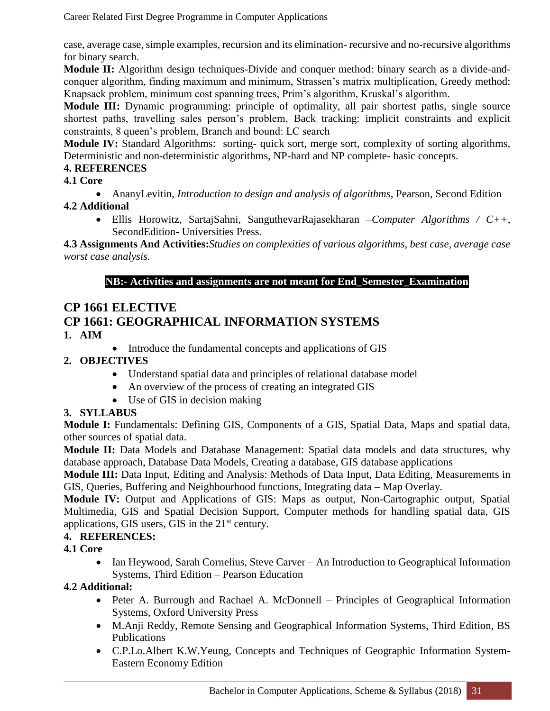case, average case, simple examples, recursion and its elimination- recursive and no-recursive algorithms for binary search.

**Module II:** Algorithm design techniques-Divide and conquer method: binary search as a divide-andconquer algorithm, finding maximum and minimum, Strassen's matrix multiplication, Greedy method: Knapsack problem, minimum cost spanning trees, Prim's algorithm, Kruskal's algorithm.

**Module III:** Dynamic programming: principle of optimality, all pair shortest paths, single source shortest paths, travelling sales person's problem, Back tracking: implicit constraints and explicit constraints, 8 queen's problem, Branch and bound: LC search

**Module IV:** Standard Algorithms: sorting- quick sort, merge sort, complexity of sorting algorithms, Deterministic and non-deterministic algorithms, NP-hard and NP complete- basic concepts.

#### **4. REFERENCES**

**4.1 Core**

AnanyLevitin, *Introduction to design and analysis of algorithms*, Pearson, Second Edition

#### **4.2 Additional**

 Ellis Horowitz, SartajSahni, SanguthevarRajasekharan –*Computer Algorithms / C++*, SecondEdition- Universities Press.

**4.3 Assignments And Activities:***Studies on complexities of various algorithms, best case, average case worst case analysis.*

#### **NB:- Activities and assignments are not meant for End\_Semester\_Examination**

### **CP 1661 ELECTIVE CP 1661: GEOGRAPHICAL INFORMATION SYSTEMS**

#### **1. AIM**

• Introduce the fundamental concepts and applications of GIS

#### **2. OBJECTIVES**

- Understand spatial data and principles of relational database model
- An overview of the process of creating an integrated GIS
- Use of GIS in decision making

#### **3. SYLLABUS**

**Module I:** Fundamentals: Defining GIS, Components of a GIS, Spatial Data, Maps and spatial data, other sources of spatial data.

Module II: Data Models and Database Management: Spatial data models and data structures, why database approach, Database Data Models, Creating a database, GIS database applications

**Module III:** Data Input, Editing and Analysis: Methods of Data Input, Data Editing, Measurements in GIS, Queries, Buffering and Neighbourhood functions, Integrating data – Map Overlay.

**Module IV:** Output and Applications of GIS: Maps as output, Non-Cartographic output, Spatial Multimedia, GIS and Spatial Decision Support, Computer methods for handling spatial data, GIS applications, GIS users, GIS in the  $21<sup>st</sup>$  century.

#### **4. REFERENCES:**

#### **4.1 Core**

• Ian Heywood, Sarah Cornelius, Steve Carver – An Introduction to Geographical Information Systems, Third Edition – Pearson Education

#### **4.2 Additional:**

- Peter A. Burrough and Rachael A. McDonnell Principles of Geographical Information Systems, Oxford University Press
- M.Anji Reddy, Remote Sensing and Geographical Information Systems, Third Edition, BS Publications
- C.P.Lo.Albert K.W.Yeung, Concepts and Techniques of Geographic Information System-Eastern Economy Edition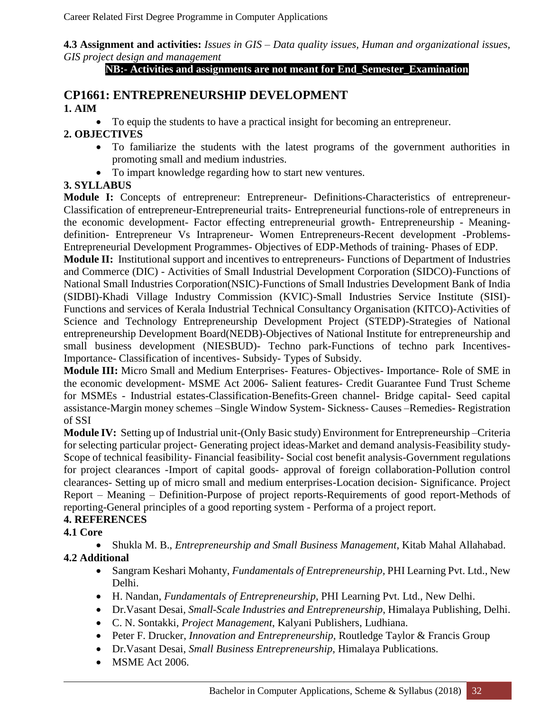**4.3 Assignment and activities:** *Issues in GIS – Data quality issues, Human and organizational issues, GIS project design and management*

#### **NB:- Activities and assignments are not meant for End\_Semester\_Examination**

#### **CP1661: ENTREPRENEURSHIP DEVELOPMENT 1. AIM**

To equip the students to have a practical insight for becoming an entrepreneur.

#### **2. OBJECTIVES**

- To familiarize the students with the latest programs of the government authorities in promoting small and medium industries.
- To impart knowledge regarding how to start new ventures.

#### **3. SYLLABUS**

**Module I:** Concepts of entrepreneur: Entrepreneur- Definitions-Characteristics of entrepreneur-Classification of entrepreneur-Entrepreneurial traits- Entrepreneurial functions-role of entrepreneurs in the economic development- Factor effecting entrepreneurial growth- Entrepreneurship - Meaningdefinition- Entrepreneur Vs Intrapreneur- Women Entrepreneurs-Recent development -Problems-Entrepreneurial Development Programmes- Objectives of EDP-Methods of training- Phases of EDP.

**Module II:** Institutional support and incentives to entrepreneurs- Functions of Department of Industries and Commerce (DIC) - Activities of Small Industrial Development Corporation (SIDCO)-Functions of National Small Industries Corporation(NSIC)-Functions of Small Industries Development Bank of India (SIDBI)-Khadi Village Industry Commission (KVIC)-Small Industries Service Institute (SISI)- Functions and services of Kerala Industrial Technical Consultancy Organisation (KITCO)-Activities of Science and Technology Entrepreneurship Development Project (STEDP)-Strategies of National entrepreneurship Development Board(NEDB)-Objectives of National Institute for entrepreneurship and small business development (NIESBUD)- Techno park-Functions of techno park Incentives-Importance- Classification of incentives- Subsidy- Types of Subsidy.

**Module III:** Micro Small and Medium Enterprises- Features- Objectives- Importance- Role of SME in the economic development- MSME Act 2006- Salient features- Credit Guarantee Fund Trust Scheme for MSMEs - Industrial estates-Classification-Benefits-Green channel- Bridge capital- Seed capital assistance-Margin money schemes –Single Window System- Sickness- Causes –Remedies- Registration of SSI

**Module IV:** Setting up of Industrial unit-(Only Basic study) Environment for Entrepreneurship –Criteria for selecting particular project- Generating project ideas-Market and demand analysis-Feasibility study-Scope of technical feasibility- Financial feasibility- Social cost benefit analysis-Government regulations for project clearances -Import of capital goods- approval of foreign collaboration-Pollution control clearances- Setting up of micro small and medium enterprises-Location decision- Significance. Project Report – Meaning – Definition-Purpose of project reports-Requirements of good report-Methods of reporting-General principles of a good reporting system - Performa of a project report.

#### **4. REFERENCES**

#### **4.1 Core**

 Shukla M. B., *Entrepreneurship and Small Business Management*, Kitab Mahal Allahabad. **4.2 Additional**

- Sangram Keshari Mohanty, *Fundamentals of Entrepreneurship,* PHI Learning Pvt. Ltd., New Delhi.
- H. Nandan, *Fundamentals of Entrepreneurship*, PHI Learning Pvt. Ltd., New Delhi.
- Dr.Vasant Desai*, Small-Scale Industries and Entrepreneurship*, Himalaya Publishing, Delhi.
- C. N. Sontakki, *Project Management*, Kalyani Publishers, Ludhiana.
- Peter F. Drucker, *Innovation and Entrepreneurship,* Routledge Taylor & Francis Group
- Dr.Vasant Desai, *Small Business Entrepreneurship,* Himalaya Publications*.*
- MSME Act 2006.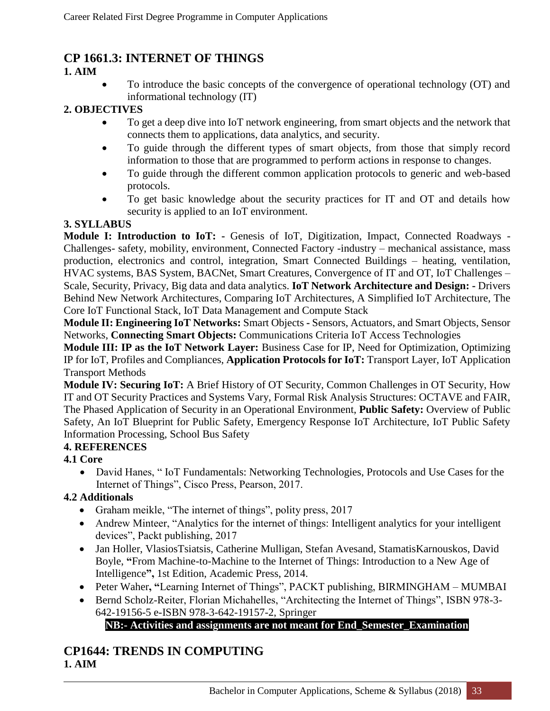### **CP 1661.3: INTERNET OF THINGS**

#### **1. AIM**

 To introduce the basic concepts of the convergence of operational technology (OT) and informational technology (IT)

#### **2. OBJECTIVES**

- To get a deep dive into IoT network engineering, from smart objects and the network that connects them to applications, data analytics, and security.
- To guide through the different types of smart objects, from those that simply record information to those that are programmed to perform actions in response to changes.
- To guide through the different common application protocols to generic and web-based protocols.
- To get basic knowledge about the security practices for IT and OT and details how security is applied to an IoT environment.

#### **3. SYLLABUS**

**Module I: Introduction to IoT:** - Genesis of IoT, Digitization, Impact, Connected Roadways -Challenges- safety, mobility, environment, Connected Factory -industry – mechanical assistance, mass production, electronics and control, integration, Smart Connected Buildings – heating, ventilation, HVAC systems, BAS System, BACNet, Smart Creatures, Convergence of IT and OT, IoT Challenges – Scale, Security, Privacy, Big data and data analytics. **IoT Network Architecture and Design: -** Drivers Behind New Network Architectures, Comparing IoT Architectures, A Simplified IoT Architecture, The Core IoT Functional Stack, IoT Data Management and Compute Stack

**Module II: Engineering IoT Networks:** Smart Objects **-** Sensors, Actuators, and Smart Objects, Sensor Networks, **Connecting Smart Objects:** Communications Criteria IoT Access Technologies

**Module III: IP as the IoT Network Layer:** Business Case for IP, Need for Optimization, Optimizing IP for IoT, Profiles and Compliances, **Application Protocols for IoT:** Transport Layer, IoT Application Transport Methods

**Module IV: Securing IoT:** A Brief History of OT Security, Common Challenges in OT Security, How IT and OT Security Practices and Systems Vary, Formal Risk Analysis Structures: OCTAVE and FAIR, The Phased Application of Security in an Operational Environment, **Public Safety:** Overview of Public Safety, An IoT Blueprint for Public Safety, Emergency Response IoT Architecture, IoT Public Safety Information Processing, School Bus Safety

#### **4. REFERENCES**

#### **4.1 Core**

 David Hanes, " IoT Fundamentals: Networking Technologies, Protocols and Use Cases for the Internet of Things", Cisco Press, Pearson, 2017.

#### **4.2 Additionals**

- Graham meikle, "The internet of things", polity press, 2017
- Andrew Minteer, "Analytics for the internet of things: Intelligent analytics for your intelligent devices", Packt publishing, 2017
- Jan Holler, VlasiosTsiatsis, Catherine Mulligan, Stefan Avesand, StamatisKarnouskos, David Boyle, **"**From Machine-to-Machine to the Internet of Things: Introduction to a New Age of Intelligence**",** 1st Edition, Academic Press, 2014.
- Peter Waher**, "**Learning Internet of Things", PACKT publishing, BIRMINGHAM MUMBAI
- Bernd Scholz-Reiter, Florian Michahelles, "Architecting the Internet of Things", ISBN 978-3- 642-19156-5 e-ISBN 978-3-642-19157-2, Springer

### **NB:- Activities and assignments are not meant for End\_Semester\_Examination**

### **CP1644: TRENDS IN COMPUTING 1. AIM**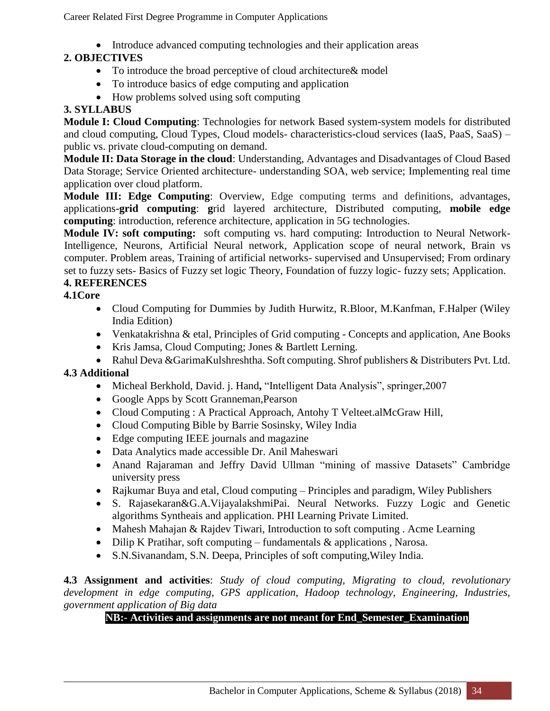• Introduce advanced computing technologies and their application areas

#### **2. OBJECTIVES**

- To introduce the broad perceptive of cloud architecture & model
- To introduce basics of edge computing and application
- How problems solved using soft computing

#### **3. SYLLABUS**

**Module I: Cloud Computing**: Technologies for network Based system-system models for distributed and cloud computing, Cloud Types, Cloud models- characteristics-cloud services (IaaS, PaaS, SaaS) – public vs. private cloud-computing on demand.

**Module II: Data Storage in the cloud**: Understanding, Advantages and Disadvantages of Cloud Based Data Storage; Service Oriented architecture- understanding SOA, web service; Implementing real time application over cloud platform.

**Module III: Edge Computing**: Overview, Edge computing terms and definitions, advantages, applications**-grid computing**: **g**rid layered architecture, Distributed computing, **mobile edge computing**: introduction, reference architecture, application in 5G technologies.

**Module IV: soft computing:** soft computing vs. hard computing: Introduction to Neural Network-Intelligence, Neurons, Artificial Neural network, Application scope of neural network, Brain vs computer. Problem areas, Training of artificial networks- supervised and Unsupervised; From ordinary set to fuzzy sets- Basics of Fuzzy set logic Theory, Foundation of fuzzy logic- fuzzy sets; Application.

#### **4. REFERENCES**

#### **4.1Core**

- Cloud Computing for Dummies by Judith Hurwitz, R.Bloor, M.Kanfman, F.Halper (Wiley India Edition)
- Venkatakrishna & etal, Principles of Grid computing Concepts and application, Ane Books
- Kris Jamsa, Cloud Computing; Jones & Bartlett Lerning.
- Rahul Deva &GarimaKulshreshtha. Soft computing. Shrof publishers & Distributers Pvt. Ltd.

#### **4.3 Additional**

- Micheal Berkhold, David. j. Hand**,** "Intelligent Data Analysis", springer,2007
- Google Apps by Scott Granneman,Pearson
- Cloud Computing : A Practical Approach, Antohy T Velteet.alMcGraw Hill,
- Cloud Computing Bible by Barrie Sosinsky, Wiley India
- Edge computing IEEE journals and magazine
- Data Analytics made accessible Dr. Anil Maheswari
- Anand Rajaraman and Jeffry David Ullman "mining of massive Datasets" Cambridge university press
- Rajkumar Buya and etal, Cloud computing Principles and paradigm, Wiley Publishers
- S. Rajasekaran&G.A.VijayalakshmiPai. Neural Networks. Fuzzy Logic and Genetic algorithms Syntheais and application. PHI Learning Private Limited.
- Mahesh Mahajan & Rajdev Tiwari, Introduction to soft computing . Acme Learning
- Dilip K Pratihar, soft computing fundamentals & applications , Narosa.
- S.N.Sivanandam, S.N. Deepa, Principles of soft computing,Wiley India.

**4.3 Assignment and activities**: *Study of cloud computing, Migrating to cloud, revolutionary development in edge computing, GPS application, Hadoop technology, Engineering, Industries, government application of Big data*

#### **NB:- Activities and assignments are not meant for End\_Semester\_Examination**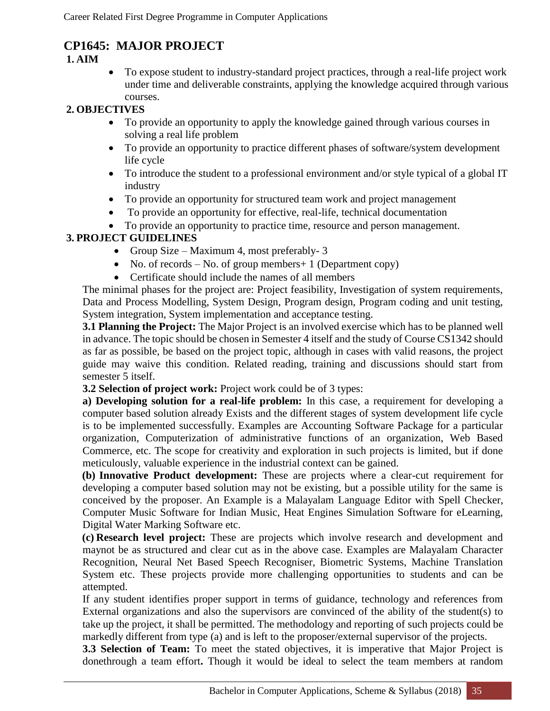### **CP1645: MAJOR PROJECT**

#### **1. AIM**

 To expose student to industry-standard project practices, through a real-life project work under time and deliverable constraints, applying the knowledge acquired through various courses.

#### **2. OBJECTIVES**

- To provide an opportunity to apply the knowledge gained through various courses in solving a real life problem
- To provide an opportunity to practice different phases of software/system development life cycle
- To introduce the student to a professional environment and/or style typical of a global IT industry
- To provide an opportunity for structured team work and project management
- To provide an opportunity for effective, real-life, technical documentation
- To provide an opportunity to practice time, resource and person management.

### **3. PROJECT GUIDELINES**

- Group Size Maximum 4, most preferably-3
- No. of records No. of group members + 1 (Department copy)
- Certificate should include the names of all members

The minimal phases for the project are: Project feasibility, Investigation of system requirements, Data and Process Modelling, System Design, Program design, Program coding and unit testing, System integration, System implementation and acceptance testing.

**3.1 Planning the Project:** The Major Project is an involved exercise which has to be planned well in advance. The topic should be chosen in Semester 4 itself and the study of Course CS1342 should as far as possible, be based on the project topic, although in cases with valid reasons, the project guide may waive this condition. Related reading, training and discussions should start from semester 5 itself.

**3.2 Selection of project work:** Project work could be of 3 types:

**a) Developing solution for a real-life problem:** In this case, a requirement for developing a computer based solution already Exists and the different stages of system development life cycle is to be implemented successfully. Examples are Accounting Software Package for a particular organization, Computerization of administrative functions of an organization, Web Based Commerce, etc. The scope for creativity and exploration in such projects is limited, but if done meticulously, valuable experience in the industrial context can be gained.

**(b) Innovative Product development:** These are projects where a clear-cut requirement for developing a computer based solution may not be existing, but a possible utility for the same is conceived by the proposer. An Example is a Malayalam Language Editor with Spell Checker, Computer Music Software for Indian Music, Heat Engines Simulation Software for eLearning, Digital Water Marking Software etc.

**(c) Research level project:** These are projects which involve research and development and maynot be as structured and clear cut as in the above case. Examples are Malayalam Character Recognition, Neural Net Based Speech Recogniser, Biometric Systems, Machine Translation System etc. These projects provide more challenging opportunities to students and can be attempted.

If any student identifies proper support in terms of guidance, technology and references from External organizations and also the supervisors are convinced of the ability of the student(s) to take up the project, it shall be permitted. The methodology and reporting of such projects could be markedly different from type (a) and is left to the proposer/external supervisor of the projects.

**3.3 Selection of Team:** To meet the stated objectives, it is imperative that Major Project is donethrough a team effort**.** Though it would be ideal to select the team members at random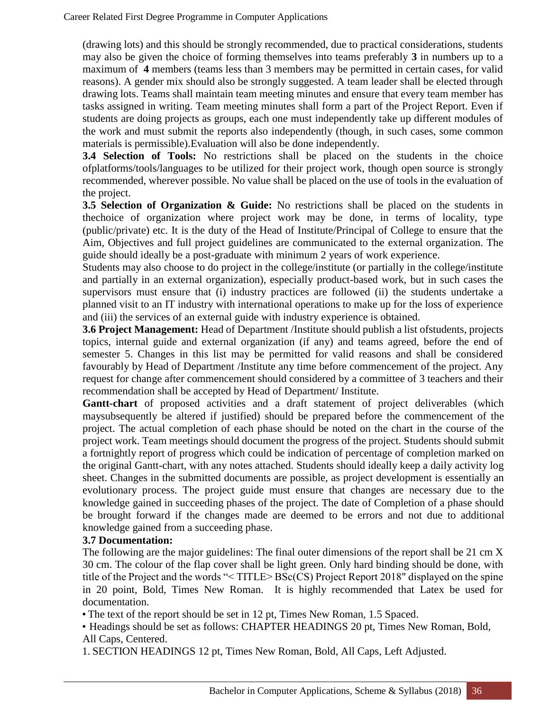(drawing lots) and this should be strongly recommended, due to practical considerations, students may also be given the choice of forming themselves into teams preferably **3** in numbers up to a maximum of **4** members (teams less than 3 members may be permitted in certain cases, for valid reasons). A gender mix should also be strongly suggested. A team leader shall be elected through drawing lots. Teams shall maintain team meeting minutes and ensure that every team member has tasks assigned in writing. Team meeting minutes shall form a part of the Project Report. Even if students are doing projects as groups, each one must independently take up different modules of the work and must submit the reports also independently (though, in such cases, some common materials is permissible).Evaluation will also be done independently.

**3.4 Selection of Tools:** No restrictions shall be placed on the students in the choice ofplatforms/tools/languages to be utilized for their project work, though open source is strongly recommended, wherever possible. No value shall be placed on the use of tools in the evaluation of the project.

**3.5 Selection of Organization & Guide:** No restrictions shall be placed on the students in thechoice of organization where project work may be done, in terms of locality, type (public/private) etc. It is the duty of the Head of Institute/Principal of College to ensure that the Aim, Objectives and full project guidelines are communicated to the external organization. The guide should ideally be a post-graduate with minimum 2 years of work experience.

Students may also choose to do project in the college/institute (or partially in the college/institute and partially in an external organization), especially product-based work, but in such cases the supervisors must ensure that (i) industry practices are followed (ii) the students undertake a planned visit to an IT industry with international operations to make up for the loss of experience and (iii) the services of an external guide with industry experience is obtained.

**3.6 Project Management:** Head of Department /Institute should publish a list ofstudents, projects topics, internal guide and external organization (if any) and teams agreed, before the end of semester 5. Changes in this list may be permitted for valid reasons and shall be considered favourably by Head of Department /Institute any time before commencement of the project. Any request for change after commencement should considered by a committee of 3 teachers and their recommendation shall be accepted by Head of Department/ Institute.

Gantt-chart of proposed activities and a draft statement of project deliverables (which maysubsequently be altered if justified) should be prepared before the commencement of the project. The actual completion of each phase should be noted on the chart in the course of the project work. Team meetings should document the progress of the project. Students should submit a fortnightly report of progress which could be indication of percentage of completion marked on the original Gantt-chart, with any notes attached. Students should ideally keep a daily activity log sheet. Changes in the submitted documents are possible, as project development is essentially an evolutionary process. The project guide must ensure that changes are necessary due to the knowledge gained in succeeding phases of the project. The date of Completion of a phase should be brought forward if the changes made are deemed to be errors and not due to additional knowledge gained from a succeeding phase.

#### **3.7 Documentation:**

The following are the major guidelines: The final outer dimensions of the report shall be 21 cm X 30 cm. The colour of the flap cover shall be light green. Only hard binding should be done, with title of the Project and the words "< TITLE> BSc(CS) Project Report 2018" displayed on the spine in 20 point, Bold, Times New Roman. It is highly recommended that Latex be used for documentation.

• The text of the report should be set in 12 pt, Times New Roman, 1.5 Spaced.

• Headings should be set as follows: CHAPTER HEADINGS 20 pt, Times New Roman, Bold, All Caps, Centered.

1. SECTION HEADINGS 12 pt, Times New Roman, Bold, All Caps, Left Adjusted.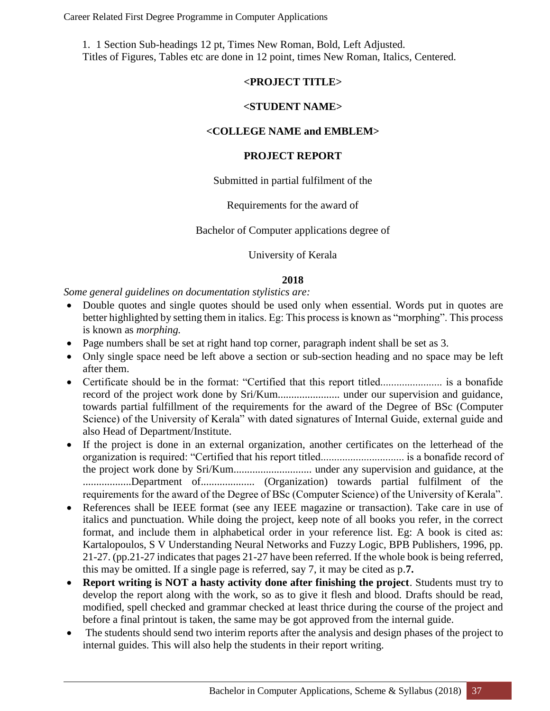1. 1 Section Sub-headings 12 pt, Times New Roman, Bold, Left Adjusted. Titles of Figures, Tables etc are done in 12 point, times New Roman, Italics, Centered.

#### **<PROJECT TITLE>**

#### **<STUDENT NAME>**

#### **<COLLEGE NAME and EMBLEM>**

#### **PROJECT REPORT**

#### Submitted in partial fulfilment of the

#### Requirements for the award of

#### Bachelor of Computer applications degree of

#### University of Kerala

#### **2018**

*Some general guidelines on documentation stylistics are:*

- Double quotes and single quotes should be used only when essential. Words put in quotes are better highlighted by setting them in italics. Eg: This process is known as "morphing". This process is known as *morphing.*
- Page numbers shall be set at right hand top corner, paragraph indent shall be set as 3.
- Only single space need be left above a section or sub-section heading and no space may be left after them.
- Certificate should be in the format: "Certified that this report titled....................... is a bonafide record of the project work done by Sri/Kum....................... under our supervision and guidance, towards partial fulfillment of the requirements for the award of the Degree of BSc (Computer Science) of the University of Kerala" with dated signatures of Internal Guide, external guide and also Head of Department/Institute.
- If the project is done in an external organization, another certificates on the letterhead of the organization is required: "Certified that his report titled............................... is a bonafide record of the project work done by Sri/Kum............................. under any supervision and guidance, at the ..................Department of.................... (Organization) towards partial fulfilment of the requirements for the award of the Degree of BSc (Computer Science) of the University of Kerala".
- References shall be IEEE format (see any IEEE magazine or transaction). Take care in use of italics and punctuation. While doing the project, keep note of all books you refer, in the correct format, and include them in alphabetical order in your reference list. Eg: A book is cited as: Kartalopoulos, S V Understanding Neural Networks and Fuzzy Logic, BPB Publishers, 1996, pp. 21-27. (pp.21-27 indicates that pages 21-27 have been referred. If the whole book is being referred, this may be omitted. If a single page is referred, say 7, it may be cited as p.**7.**
- **Report writing is NOT a hasty activity done after finishing the project**. Students must try to develop the report along with the work, so as to give it flesh and blood. Drafts should be read, modified, spell checked and grammar checked at least thrice during the course of the project and before a final printout is taken, the same may be got approved from the internal guide.
- The students should send two interim reports after the analysis and design phases of the project to internal guides. This will also help the students in their report writing.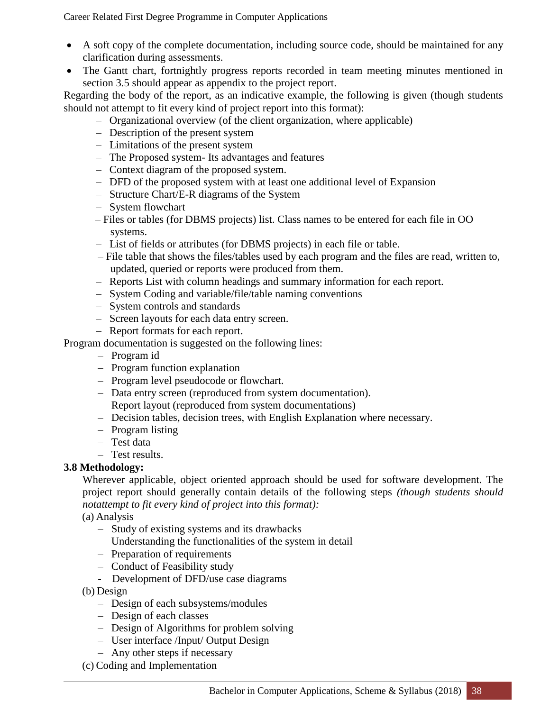- A soft copy of the complete documentation, including source code, should be maintained for any clarification during assessments.
- The Gantt chart, fortnightly progress reports recorded in team meeting minutes mentioned in section 3.5 should appear as appendix to the project report.

Regarding the body of the report, as an indicative example, the following is given (though students should not attempt to fit every kind of project report into this format):

- Organizational overview (of the client organization, where applicable)
- Description of the present system
- Limitations of the present system
- The Proposed system- Its advantages and features
- Context diagram of the proposed system.
- DFD of the proposed system with at least one additional level of Expansion
- Structure Chart/E-R diagrams of the System
- System flowchart
- Files or tables (for DBMS projects) list. Class names to be entered for each file in OO systems.
- List of fields or attributes (for DBMS projects) in each file or table.
- File table that shows the files/tables used by each program and the files are read, written to, updated, queried or reports were produced from them.
- Reports List with column headings and summary information for each report.
- System Coding and variable/file/table naming conventions
- System controls and standards
- Screen layouts for each data entry screen.
- Report formats for each report.

Program documentation is suggested on the following lines:

- Program id
- Program function explanation
- Program level pseudocode or flowchart.
- Data entry screen (reproduced from system documentation).
- Report layout (reproduced from system documentations)
- Decision tables, decision trees, with English Explanation where necessary.
- Program listing
- Test data
- Test results.

#### **3.8 Methodology:**

Wherever applicable, object oriented approach should be used for software development. The project report should generally contain details of the following steps *(though students should notattempt to fit every kind of project into this format):*

(a) Analysis

- Study of existing systems and its drawbacks
- Understanding the functionalities of the system in detail
- Preparation of requirements
- Conduct of Feasibility study
- Development of DFD/use case diagrams
- (b) Design
	- Design of each subsystems/modules
	- Design of each classes
	- Design of Algorithms for problem solving
	- User interface /Input/ Output Design
	- Any other steps if necessary
- (c) Coding and Implementation